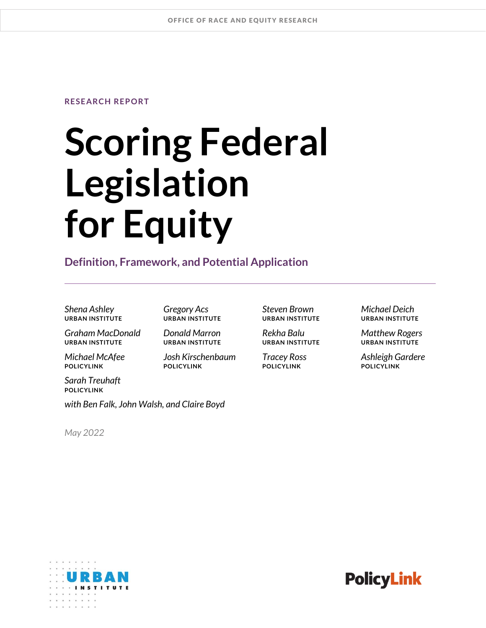### **RESEARCH REPORT**

# **Scoring Federal Legislation for Equity**

### **Definition, Framework, and Potential Application**

*Shena Ashley Gregory Acs Steven Brown Michael Deich*

*Graham MacDonald Donald Marron Rekha Balu Matthew Rogers*

*Sarah Treuhaft* **POLICYLINK**

*with Ben Falk, John Walsh, and Claire Boyd*

*May 2022*

**URBAN INSTITUTE URBAN INSTITUTE URBAN INSTITUTE URBAN INSTITUTE**

*Michael McAfee Josh Kirschenbaum Tracey Ross Ashleigh Gardere* **POLICYLINK POLICYLINK POLICYLINK POLICYLINK**

**URBAN INSTITUTE URBAN INSTITUTE URBAN INSTITUTE URBAN INSTITUTE**

 $\mathbf{x} = \mathbf{x}$  ,  $\mathbf{x} = \mathbf{x}$  ,  $\mathbf{x} = \mathbf{x}$ 

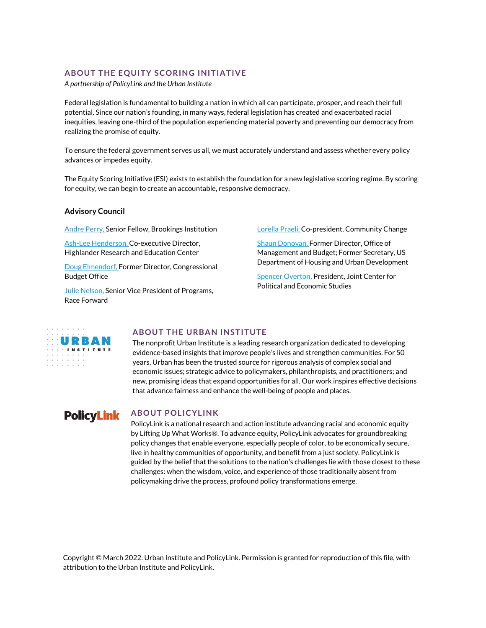#### **ABOUT THE EQUITY SCORING INITIATIVE**

*A partnership of PolicyLink and the Urban Institute*

Federal legislation is fundamental to building a nation in which all can participate, prosper, and reach their full potential. Since our nation's founding, in many ways, federal legislation has created and exacerbated racial inequities, leaving one-third of the population experiencing material poverty and preventing our democracy from realizing the promise of equity.

To ensure the federal government serves us all, we must accurately understand and assess whether every policy advances or impedes equity.

The Equity Scoring Initiative (ESI) exists to establish the foundation for a new legislative scoring regime. By scoring for equity, we can begin to create an accountable, responsive democracy.

#### **Advisory Council**

[Andre Perry,](https://www.brookings.edu/experts/andre-m-perry/) Senior Fellow, Brookings Institution

[Ash-Lee Henderson,](https://highlandercenter.org/our-story/staff/) Co-executive Director, Highlander Research and Education Center

[Doug Elmendorf,](https://www.hks.harvard.edu/faculty/douglas-elmendorf) Former Director, Congressional Budget Office

[Julie Nelson,](https://www.raceforward.org/about/staff/julie-nelson) Senior Vice President of Programs, Race Forward

[Lorella Praeli,](https://communitychange.org/people/) Co-president, Community Change

[Shaun Donovan,](https://obamawhitehouse.archives.gov/blog/author/Shaun-Donovan) Former Director, Office of Management and Budget; Former Secretary, US Department of Housing and Urban Development

[Spencer Overton,](https://jointcenter.org/about/staff/) President, Joint Center for Political and Economic Studies



#### **ABOUT THE URBAN INSTITUTE**

The nonprofit Urban Institute is a leading research organization dedicated to developing evidence-based insights that improve people's lives and strengthen communities. For 50 years, Urban has been the trusted source for rigorous analysis of complex social and economic issues; strategic advice to policymakers, philanthropists, and practitioners; and new, promising ideas that expand opportunities for all. Our work inspires effective decisions that advance fairness and enhance the well-being of people and places.

## **PolicyLink**

### **ABOUT POLICYLINK**

PolicyLink is a national research and action institute advancing racial and economic equity by Lifting Up What Works®. To advance equity, PolicyLink advocates for groundbreaking policy changes that enable everyone, especially people of color, to be economically secure, live in healthy communities of opportunity, and benefit from a just society. PolicyLink is guided by the belief that the solutions to the nation's challenges lie with those closest to these challenges: when the wisdom, voice, and experience of those traditionally absent from policymaking drive the process, profound policy transformations emerge.

Copyright © March 2022. Urban Institute and PolicyLink. Permission is granted for reproduction of this file, with attribution to the Urban Institute and PolicyLink.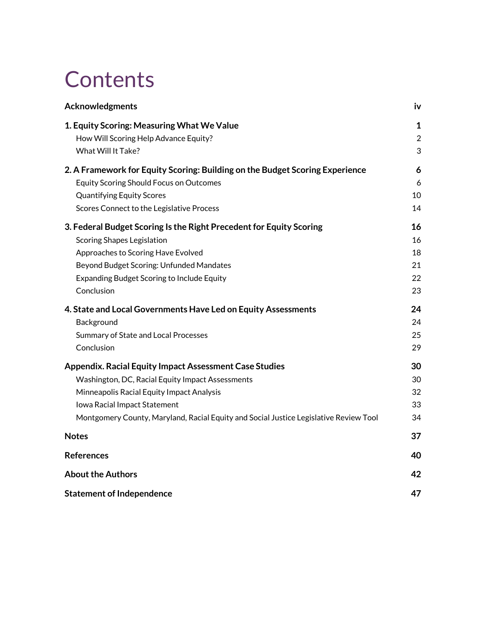## **Contents**

| Acknowledgments                                                                       | iv                             |
|---------------------------------------------------------------------------------------|--------------------------------|
| 1. Equity Scoring: Measuring What We Value<br>How Will Scoring Help Advance Equity?   | $\mathbf{1}$<br>$\overline{2}$ |
| What Will It Take?                                                                    | 3                              |
| 2. A Framework for Equity Scoring: Building on the Budget Scoring Experience          | 6                              |
| <b>Equity Scoring Should Focus on Outcomes</b>                                        | 6                              |
| <b>Quantifying Equity Scores</b>                                                      | 10                             |
| Scores Connect to the Legislative Process                                             | 14                             |
| 3. Federal Budget Scoring Is the Right Precedent for Equity Scoring                   | 16                             |
| <b>Scoring Shapes Legislation</b>                                                     | 16                             |
| Approaches to Scoring Have Evolved                                                    | 18                             |
| Beyond Budget Scoring: Unfunded Mandates                                              | 21                             |
| <b>Expanding Budget Scoring to Include Equity</b>                                     | 22                             |
| Conclusion                                                                            | 23                             |
| 4. State and Local Governments Have Led on Equity Assessments                         | 24                             |
| Background                                                                            | 24                             |
| Summary of State and Local Processes                                                  | 25                             |
| Conclusion                                                                            | 29                             |
| <b>Appendix. Racial Equity Impact Assessment Case Studies</b>                         | 30                             |
| Washington, DC, Racial Equity Impact Assessments                                      | 30                             |
| Minneapolis Racial Equity Impact Analysis                                             | 32                             |
| Iowa Racial Impact Statement                                                          | 33                             |
| Montgomery County, Maryland, Racial Equity and Social Justice Legislative Review Tool | 34                             |
| <b>Notes</b>                                                                          | 37                             |
| <b>References</b>                                                                     | 40                             |
| <b>About the Authors</b>                                                              | 42                             |
| <b>Statement of Independence</b>                                                      | 47                             |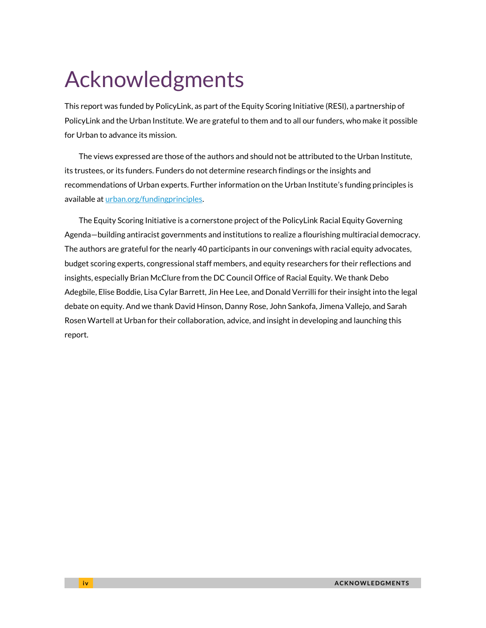## Acknowledgments

This report was funded by PolicyLink, as part of the Equity Scoring Initiative (RESI), a partnership of PolicyLink and the Urban Institute. We are grateful to them and to all our funders, who make it possible for Urban to advance its mission.

The views expressed are those of the authors and should not be attributed to the Urban Institute, its trustees, or its funders. Funders do not determine research findings or the insights and recommendations of Urban experts. Further information on the Urban Institute's funding principles is available at [urban.org/fundingprinciples.](http://www.urban.org/fundingprinciples)

The Equity Scoring Initiative is a cornerstone project of the PolicyLink Racial Equity Governing Agenda—building antiracist governments and institutions to realize a flourishing multiracial democracy. The authors are grateful for the nearly 40 participants in our convenings with racial equity advocates, budget scoring experts, congressional staff members, and equity researchers for their reflections and insights, especially Brian McClure from the DC Council Office of Racial Equity. We thank Debo Adegbile, Elise Boddie, Lisa Cylar Barrett, Jin Hee Lee, and Donald Verrilli for their insight into the legal debate on equity. And we thank David Hinson, Danny Rose, John Sankofa, Jimena Vallejo, and Sarah Rosen Wartell at Urban for their collaboration, advice, and insight in developing and launching this report.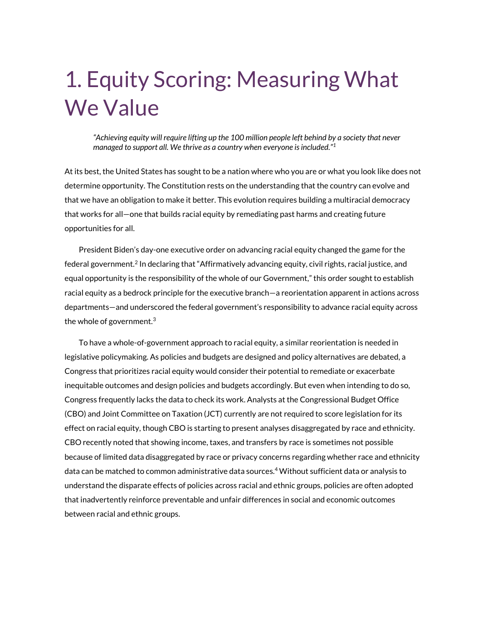## 1. Equity Scoring: Measuring What We Value

*"Achieving equity will require lifting up the 100 million people left behind by a society that never managed to support all. We thrive as a country when everyone is included."<sup>1</sup>*

At its best, the United States has sought to be a nation where who you are or what you look like does not determine opportunity. The Constitution rests on the understanding that the country can evolve and that we have an obligation to make it better. This evolution requires building a multiracial democracy that works for all—one that builds racial equity by remediating past harms and creating future opportunities for all.

President Biden's day-one executive order on advancing racial equity changed the game for the federal government.<sup>2</sup> In declaring that "Affirmatively advancing equity, civil rights, racial justice, and equal opportunity is the responsibility of the whole of our Government," this order sought to establish racial equity as a bedrock principle for the executive branch—a reorientation apparent in actions across departments—and underscored the federal government's responsibility to advance racial equity across the whole of government. $^3$ 

To have a whole-of-government approach to racial equity, a similar reorientation is needed in legislative policymaking. As policies and budgets are designed and policy alternatives are debated, a Congress that prioritizes racial equity would consider their potential to remediate or exacerbate inequitable outcomes and design policies and budgets accordingly. But even when intending to do so, Congress frequently lacks the data to check its work. Analysts at the Congressional Budget Office (CBO) and Joint Committee on Taxation (JCT) currently are not required to score legislation for its effect on racial equity, though CBO is starting to present analyses disaggregated by race and ethnicity. CBO recently noted that showing income, taxes, and transfers by race is sometimes not possible because of limited data disaggregated by race or privacy concerns regarding whether race and ethnicity data can be matched to common administrative data sources.<sup>4</sup> Without sufficient data or analysis to understand the disparate effects of policies across racial and ethnic groups, policies are often adopted that inadvertently reinforce preventable and unfair differences in social and economic outcomes between racial and ethnic groups.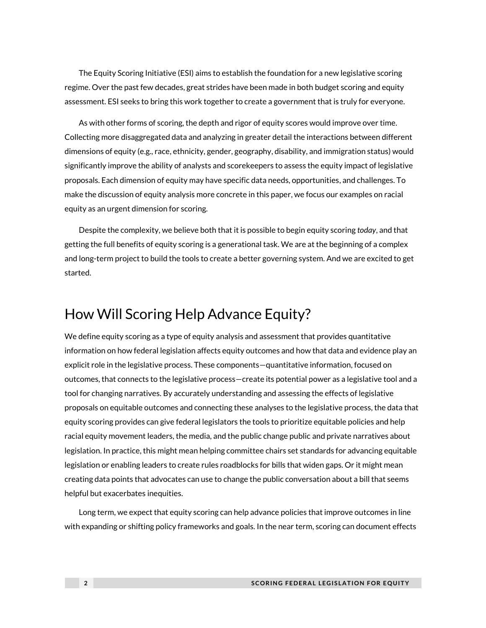The Equity Scoring Initiative (ESI) aims to establish the foundation for a new legislative scoring regime. Over the past few decades, great strides have been made in both budget scoring and equity assessment. ESI seeks to bring this work together to create a government that is truly for everyone.

As with other forms of scoring, the depth and rigor of equity scores would improve over time. Collecting more disaggregated data and analyzing in greater detail the interactions between different dimensions of equity (e.g., race, ethnicity, gender, geography, disability, and immigration status) would significantly improve the ability of analysts and scorekeepers to assess the equity impact of legislative proposals. Each dimension of equity may have specific data needs, opportunities, and challenges. To make the discussion of equity analysis more concrete in this paper, we focus our examples on racial equity as an urgent dimension for scoring.

Despite the complexity, we believe both that it is possible to begin equity scoring *today*, and that getting the full benefits of equity scoring is a generational task. We are at the beginning of a complex and long-term project to build the tools to create a better governing system. And we are excited to get started.

## How Will Scoring Help Advance Equity?

We define equity scoring as a type of equity analysis and assessment that provides quantitative information on how federal legislation affects equity outcomes and how that data and evidence play an explicit role in the legislative process. These components—quantitative information, focused on outcomes, that connects to the legislative process—create its potential power as a legislative tool and a tool for changing narratives. By accurately understanding and assessing the effects of legislative proposals on equitable outcomes and connecting these analyses to the legislative process, the data that equity scoring provides can give federal legislators the tools to prioritize equitable policies and help racial equity movement leaders, the media, and the public change public and private narratives about legislation. In practice, this might mean helping committee chairs set standards for advancing equitable legislation or enabling leaders to create rules roadblocks for bills that widen gaps. Or it might mean creating data points that advocates can use to change the public conversation about a bill that seems helpful but exacerbates inequities.

Long term, we expect that equity scoring can help advance policies that improve outcomes in line with expanding or shifting policy frameworks and goals. In the near term, scoring can document effects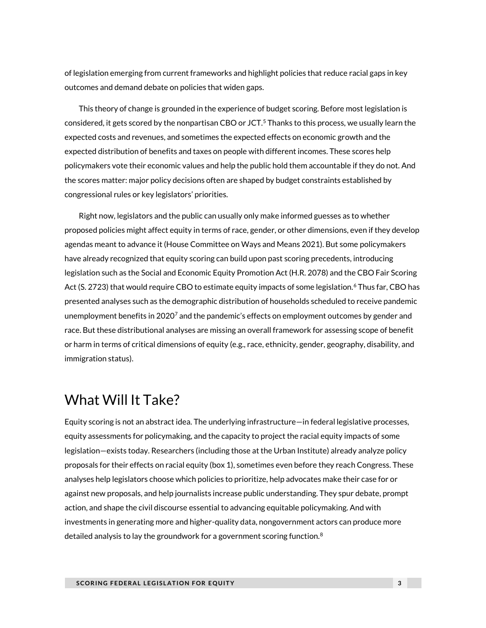of legislation emerging from current frameworks and highlight policies that reduce racial gaps in key outcomes and demand debate on policies that widen gaps.

This theory of change is grounded in the experience of budget scoring. Before most legislation is considered, it gets scored by the nonpartisan CBO or JCT.<sup>5</sup> Thanks to this process, we usually learn the expected costs and revenues, and sometimes the expected effects on economic growth and the expected distribution of benefits and taxes on people with different incomes. These scores help policymakers vote their economic values and help the public hold them accountable if they do not. And the scores matter: major policy decisions often are shaped by budget constraints established by congressional rules or key legislators' priorities.

Right now, legislators and the public can usually only make informed guesses as to whether proposed policies might affect equity in terms of race, gender, or other dimensions, even if they develop agendas meant to advance it (House Committee on Ways and Means 2021). But some policymakers have already recognized that equity scoring can build upon past scoring precedents, introducing legislation such as the Social and Economic Equity Promotion Act (H.R. 2078) and the CBO Fair Scoring Act (S. 2723) that would require CBO to estimate equity impacts of some legislation.<sup>6</sup> Thus far, CBO has presented analyses such as the demographic distribution of households scheduled to receive pandemic unemployment benefits in 2020<sup>7</sup> and the pandemic's effects on employment outcomes by gender and race. But these distributional analyses are missing an overall framework for assessing scope of benefit or harm in terms of critical dimensions of equity (e.g., race, ethnicity, gender, geography, disability, and immigration status).

## What Will It Take?

Equity scoring is not an abstract idea. The underlying infrastructure—in federal legislative processes, equity assessments for policymaking, and the capacity to project the racial equity impacts of some legislation—exists today. Researchers (including those at the Urban Institute) already analyze policy proposals for their effects on racial equity (box 1), sometimes even before they reach Congress. These analyses help legislators choose which policies to prioritize, help advocates make their case for or against new proposals, and help journalists increase public understanding. They spur debate, prompt action, and shape the civil discourse essential to advancing equitable policymaking. And with investments in generating more and higher-quality data, nongovernment actors can produce more detailed analysis to lay the groundwork for a government scoring function. $8$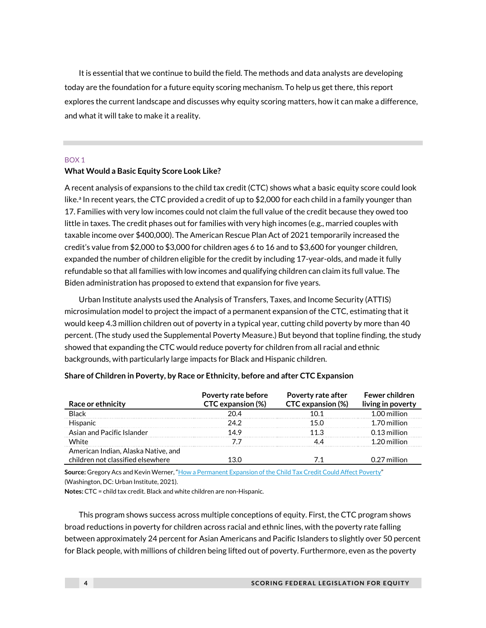It is essential that we continue to build the field. The methods and data analysts are developing today are the foundation for a future equity scoring mechanism. To help us get there, this report explores the current landscape and discusses why equity scoring matters, how it can make a difference, and what it will take to make it a reality.

#### BOX 1

#### **What Would a Basic Equity Score Look Like?**

A recent analysis of expansions to the child tax credit (CTC) shows what a basic equity score could look like.<sup>a</sup> In recent years, the CTC provided a credit of up to \$2,000 for each child in a family younger than 17. Families with very low incomes could not claim the full value of the credit because they owed too little in taxes. The credit phases out for families with very high incomes (e.g., married couples with taxable income over \$400,000). The American Rescue Plan Act of 2021 temporarily increased the credit's value from \$2,000 to \$3,000 for children ages 6 to 16 and to \$3,600 for younger children, expanded the number of children eligible for the credit by including 17-year-olds, and made it fully refundable so that all families with low incomes and qualifying children can claim its full value. The Biden administration has proposed to extend that expansion for five years.

Urban Institute analysts used the Analysis of Transfers, Taxes, and Income Security (ATTIS) microsimulation model to project the impact of a permanent expansion of the CTC, estimating that it would keep 4.3 million children out of poverty in a typical year, cutting child poverty by more than 40 percent. (The study used the Supplemental Poverty Measure.) But beyond that topline finding, the study showed that expanding the CTC would reduce poverty for children from all racial and ethnic backgrounds, with particularly large impacts for Black and Hispanic children.

| Race or ethnicity                                                        | Poverty rate before<br><b>CTC</b> expansion (%) | <b>Poverty rate after</b><br><b>CTC</b> expansion (%) | <b>Fewer children</b><br>living in poverty |
|--------------------------------------------------------------------------|-------------------------------------------------|-------------------------------------------------------|--------------------------------------------|
| <b>Black</b>                                                             | 20 4                                            |                                                       | $100$ million                              |
| <b>Hispanic</b>                                                          | 24 2                                            | 15 N                                                  | 1.70 million                               |
| Asian and Pacific Islander                                               | 149                                             | 11.3                                                  | $0.13$ million                             |
| White                                                                    |                                                 |                                                       | 1.20 million                               |
| American Indian, Alaska Native, and<br>children not classified elsewhere |                                                 |                                                       | $0.27$ million                             |

#### **Share of Children in Poverty, by Race or Ethnicity, before and after CTC Expansion**

Source: Gregory Acs and Kevin Werner, "[How a Permanent Expansion of the Child Tax Credit Could Affect Poverty](https://www.urban.org/sites/default/files/publication/104626/how-a-permanent-expansion-of-the-child-tax-credit-could-affect-poverty.pdf)" (Washington, DC: Urban Institute, 2021).

**Notes:** CTC = child tax credit. Black and white children are non-Hispanic.

This program shows success across multiple conceptions of equity. First, the CTC program shows broad reductions in poverty for children across racial and ethnic lines, with the poverty rate falling between approximately 24 percent for Asian Americans and Pacific Islanders to slightly over 50 percent for Black people, with millions of children being lifted out of poverty. Furthermore, even as the poverty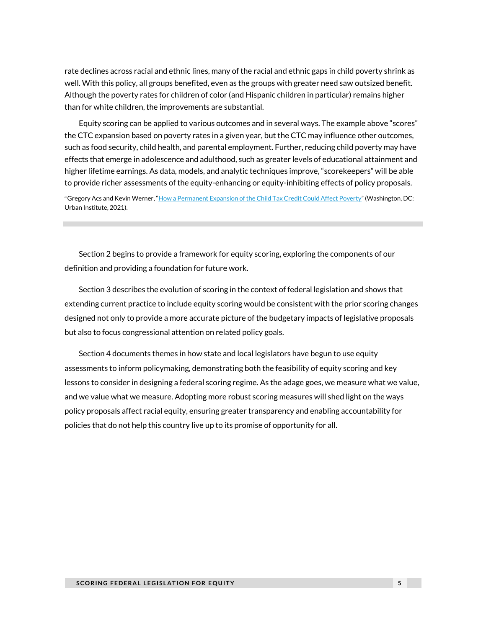rate declines across racial and ethnic lines, many of the racial and ethnic gaps in child poverty shrink as well. With this policy, all groups benefited, even as the groups with greater need saw outsized benefit. Although the poverty rates for children of color (and Hispanic children in particular) remains higher than for white children, the improvements are substantial.

Equity scoring can be applied to various outcomes and in several ways. The example above "scores" the CTC expansion based on poverty rates in a given year, but the CTC may influence other outcomes, such as food security, child health, and parental employment. Further, reducing child poverty may have effects that emerge in adolescence and adulthood, such as greater levels of educational attainment and higher lifetime earnings. As data, models, and analytic techniques improve, "scorekeepers" will be able to provide richer assessments of the equity-enhancing or equity-inhibiting effects of policy proposals.

aGregory Acs and Kevin Werner, "[How a Permanent Expansion of the Child Tax Credit Could Affect Poverty](https://www.urban.org/sites/default/files/publication/104626/how-a-permanent-expansion-of-the-child-tax-credit-could-affect-poverty.pdf)" (Washington, DC: Urban Institute, 2021).

Section 2 begins to provide a framework for equity scoring, exploring the components of our definition and providing a foundation for future work.

Section 3 describes the evolution of scoring in the context of federal legislation and shows that extending current practice to include equity scoring would be consistent with the prior scoring changes designed not only to provide a more accurate picture of the budgetary impacts of legislative proposals but also to focus congressional attention on related policy goals.

Section 4 documents themes in how state and local legislators have begun to use equity assessments to inform policymaking, demonstrating both the feasibility of equity scoring and key lessons to consider in designing a federal scoring regime. As the adage goes, we measure what we value, and we value what we measure. Adopting more robust scoring measures will shed light on the ways policy proposals affect racial equity, ensuring greater transparency and enabling accountability for policies that do not help this country live up to its promise of opportunity for all.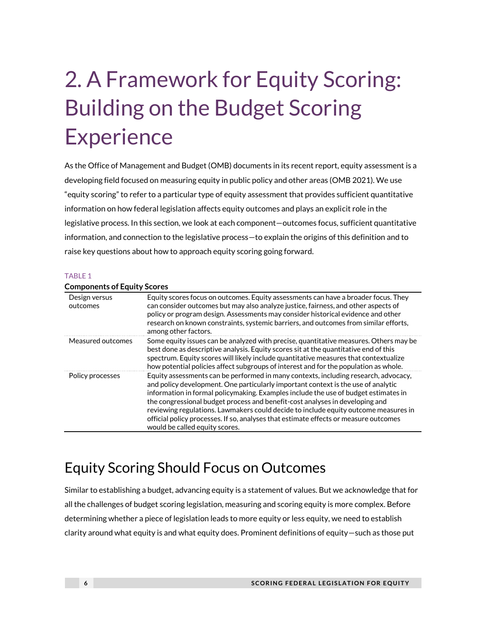## 2. A Framework for Equity Scoring: Building on the Budget Scoring **Experience**

As the Office of Management and Budget (OMB) documents in its recent report, equity assessment is a developing field focused on measuring equity in public policy and other areas (OMB 2021). We use "equity scoring" to refer to a particular type of equity assessment that provides sufficient quantitative information on how federal legislation affects equity outcomes and plays an explicit role in the legislative process. In this section, we look at each component—outcomes focus, sufficient quantitative information, and connection to the legislative process—to explain the origins of this definition and to raise key questions about how to approach equity scoring going forward.

#### TABLE 1

| COMPONENTS OF EQUITY SCOLES |                                                                                                                                                                                                                                                                                                                                                                                                                                                                                                                                                                  |
|-----------------------------|------------------------------------------------------------------------------------------------------------------------------------------------------------------------------------------------------------------------------------------------------------------------------------------------------------------------------------------------------------------------------------------------------------------------------------------------------------------------------------------------------------------------------------------------------------------|
| Design versus<br>outcomes   | Equity scores focus on outcomes. Equity assessments can have a broader focus. They<br>can consider outcomes but may also analyze justice, fairness, and other aspects of<br>policy or program design. Assessments may consider historical evidence and other<br>research on known constraints, systemic barriers, and outcomes from similar efforts,<br>among other factors.                                                                                                                                                                                     |
| Measured outcomes           | Some equity issues can be analyzed with precise, quantitative measures. Others may be<br>best done as descriptive analysis. Equity scores sit at the quantitative end of this<br>spectrum. Equity scores will likely include quantitative measures that contextualize<br>how potential policies affect subgroups of interest and for the population as whole.                                                                                                                                                                                                    |
| Policy processes            | Equity assessments can be performed in many contexts, including research, advocacy,<br>and policy development. One particularly important context is the use of analytic<br>information in formal policymaking. Examples include the use of budget estimates in<br>the congressional budget process and benefit-cost analyses in developing and<br>reviewing regulations. Lawmakers could decide to include equity outcome measures in<br>official policy processes. If so, analyses that estimate effects or measure outcomes<br>would be called equity scores. |

### **Components of Equity Scores**

## Equity Scoring Should Focus on Outcomes

Similar to establishing a budget, advancing equity is a statement of values. But we acknowledge that for all the challenges of budget scoring legislation, measuring and scoring equity is more complex. Before determining whether a piece of legislation leads to more equity or less equity, we need to establish clarity around what equity is and what equity does. Prominent definitions of equity—such as those put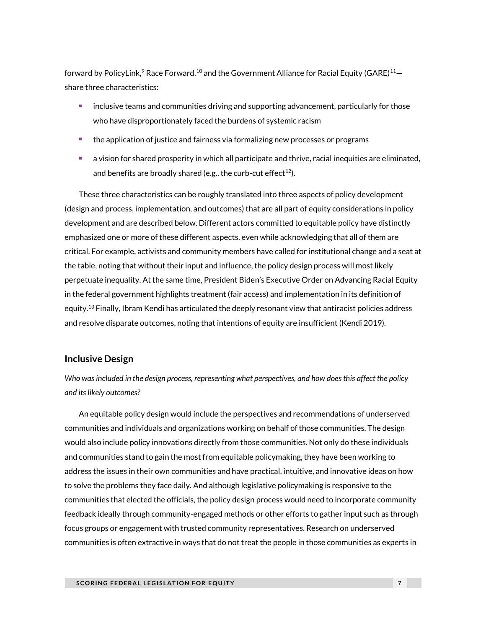forward by PolicyLink,<sup>9</sup> Race Forward,<sup>10</sup> and the Government Alliance for Racial Equity (GARE)<sup>11</sup>– share three characteristics:

- inclusive teams and communities driving and supporting advancement, particularly for those who have disproportionately faced the burdens of systemic racism
- the application of justice and fairness via formalizing new processes or programs
- a vision for shared prosperity in which all participate and thrive, racial inequities are eliminated, and benefits are broadly shared (e.g., the curb-cut effect<sup>12</sup>).

These three characteristics can be roughly translated into three aspects of policy development (design and process, implementation, and outcomes) that are all part of equity considerations in policy development and are described below. Different actors committed to equitable policy have distinctly emphasized one or more of these different aspects, even while acknowledging that all of them are critical. For example, activists and community members have called for institutional change and a seat at the table, noting that without their input and influence, the policy design process will most likely perpetuate inequality. At the same time, President Biden's Executive Order on Advancing Racial Equity in the federal government highlights treatment (fair access) and implementation in its definition of equity.<sup>13</sup> Finally, Ibram Kendi has articulated the deeply resonant view that antiracist policies address and resolve disparate outcomes, noting that intentions of equity are insufficient (Kendi 2019).

### **Inclusive Design**

*Who was included in the design process, representing what perspectives, and how does this affect the policy and its likely outcomes?* 

An equitable policy design would include the perspectives and recommendations of underserved communities and individuals and organizations working on behalf of those communities. The design would also include policy innovations directly from those communities. Not only do these individuals and communities stand to gain the most from equitable policymaking, they have been working to address the issues in their own communities and have practical, intuitive, and innovative ideas on how to solve the problems they face daily. And although legislative policymaking is responsive to the communities that elected the officials, the policy design process would need to incorporate community feedback ideally through community-engaged methods or other efforts to gather input such as through focus groups or engagement with trusted community representatives. Research on underserved communities is often extractive in ways that do not treat the people in those communities as experts in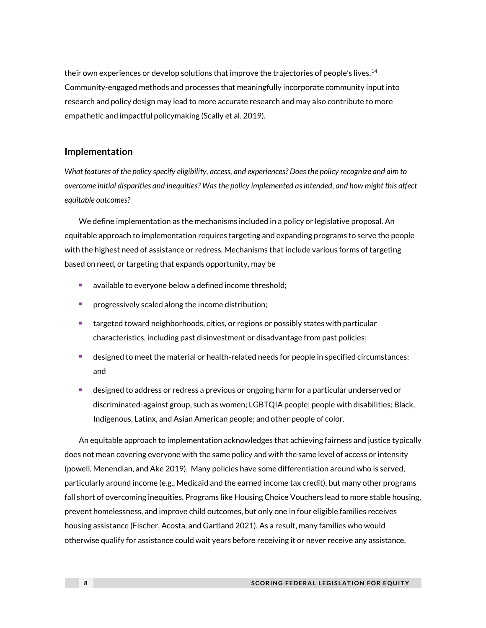their own experiences or develop solutions that improve the trajectories of people's lives.<sup>14</sup> Community-engaged methods and processes that meaningfully incorporate community input into research and policy design may lead to more accurate research and may also contribute to more empathetic and impactful policymaking (Scally et al. 2019).

### **Implementation**

*What features of the policy specify eligibility, access, and experiences? Does the policy recognize and aim to overcome initial disparities and inequities? Was the policy implemented as intended, and how might this affect equitable outcomes?* 

We define implementation as the mechanisms included in a policy or legislative proposal. An equitable approach to implementation requires targeting and expanding programs to serve the people with the highest need of assistance or redress. Mechanisms that include various forms of targeting based on need, or targeting that expands opportunity, may be

- available to everyone below a defined income threshold;
- progressively scaled along the income distribution;
- targeted toward neighborhoods, cities, or regions or possibly states with particular characteristics, including past disinvestment or disadvantage from past policies;
- designed to meet the material or health-related needs for people in specified circumstances; and
- designed to address or redress a previous or ongoing harm for a particular underserved or discriminated-against group, such as women; LGBTQIA people; people with disabilities; Black, Indigenous, Latinx, and Asian American people; and other people of color.

An equitable approach to implementation acknowledges that achieving fairness and justice typically does not mean covering everyone with the same policy and with the same level of access or intensity (powell, Menendian, and Ake 2019). Many policies have some differentiation around who is served, particularly around income (e.g., Medicaid and the earned income tax credit), but many other programs fall short of overcoming inequities. Programs like Housing Choice Vouchers lead to more stable housing, prevent homelessness, and improve child outcomes, but only one in four eligible families receives housing assistance (Fischer, Acosta, and Gartland 2021). As a result, many families who would otherwise qualify for assistance could wait years before receiving it or never receive any assistance.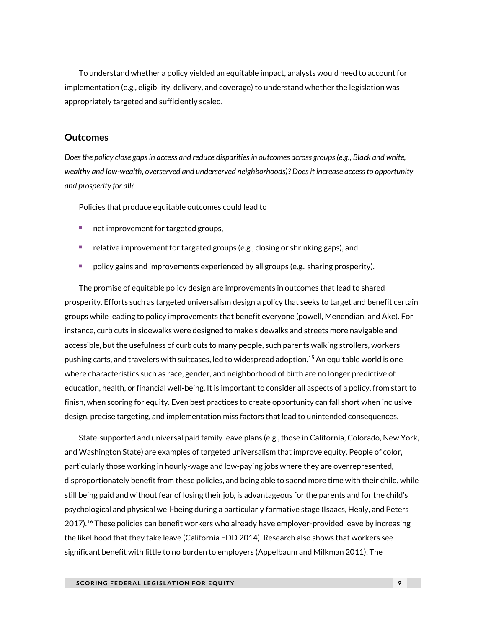To understand whether a policy yielded an equitable impact, analysts would need to account for implementation (e.g., eligibility, delivery, and coverage) to understand whether the legislation was appropriately targeted and sufficiently scaled.

### **Outcomes**

*Does the policy close gaps in access and reduce disparities in outcomes across groups (e.g., Black and white, wealthy and low-wealth, overserved and underserved neighborhoods)? Does it increase access to opportunity and prosperity for all?*

Policies that produce equitable outcomes could lead to

- net improvement for targeted groups,
- relative improvement for targeted groups (e.g., closing or shrinking gaps), and
- <sup>◼</sup> policy gains and improvements experienced by all groups (e.g., sharing prosperity).

The promise of equitable policy design are improvements in outcomes that lead to shared prosperity. Efforts such as targeted universalism design a policy that seeks to target and benefit certain groups while leading to policy improvements that benefit everyone (powell, Menendian, and Ake). For instance, curb cuts in sidewalks were designed to make sidewalks and streets more navigable and accessible, but the usefulness of curb cuts to many people, such parents walking strollers, workers pushing carts, and travelers with suitcases, led to widespread adoption.<sup>15</sup> An equitable world is one where characteristics such as race, gender, and neighborhood of birth are no longer predictive of education, health, or financial well-being. It is important to consider all aspects of a policy, from start to finish, when scoring for equity. Even best practices to create opportunity can fall short when inclusive design, precise targeting, and implementation miss factors that lead to unintended consequences.

State-supported and universal paid family leave plans (e.g., those in California, Colorado, New York, and Washington State) are examples of targeted universalism that improve equity. People of color, particularly those working in hourly-wage and low-paying jobs where they are overrepresented, disproportionately benefit from these policies, and being able to spend more time with their child, while still being paid and without fear of losing their job, is advantageous for the parents and for the child's psychological and physical well-being during a particularly formative stage (Isaacs, Healy, and Peters 2017).<sup>16</sup> These policies can benefit workers who already have employer-provided leave by increasing the likelihood that they take leave (California EDD 2014). Research also shows that workers see significant benefit with little to no burden to employers (Appelbaum and Milkman 2011). The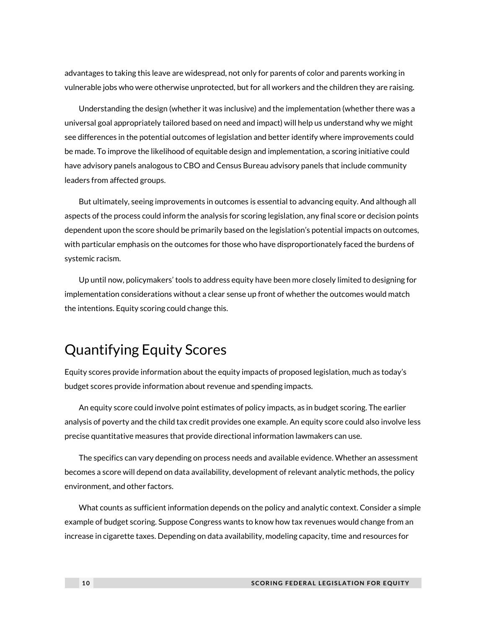advantages to taking this leave are widespread, not only for parents of color and parents working in vulnerable jobs who were otherwise unprotected, but for all workers and the children they are raising.

Understanding the design (whether it was inclusive) and the implementation (whether there was a universal goal appropriately tailored based on need and impact) will help us understand why we might see differences in the potential outcomes of legislation and better identify where improvements could be made. To improve the likelihood of equitable design and implementation, a scoring initiative could have advisory panels analogous to CBO and Census Bureau advisory panels that include community leaders from affected groups.

But ultimately, seeing improvements in outcomes is essential to advancing equity. And although all aspects of the process could inform the analysis for scoring legislation, any final score or decision points dependent upon the score should be primarily based on the legislation's potential impacts on outcomes, with particular emphasis on the outcomes for those who have disproportionately faced the burdens of systemic racism.

Up until now, policymakers' tools to address equity have been more closely limited to designing for implementation considerations without a clear sense up front of whether the outcomes would match the intentions. Equity scoring could change this.

## Quantifying Equity Scores

Equity scores provide information about the equity impacts of proposed legislation, much as today's budget scores provide information about revenue and spending impacts.

An equity score could involve point estimates of policy impacts, as in budget scoring. The earlier analysis of poverty and the child tax credit provides one example. An equity score could also involve less precise quantitative measures that provide directional information lawmakers can use.

The specifics can vary depending on process needs and available evidence. Whether an assessment becomes a score will depend on data availability, development of relevant analytic methods, the policy environment, and other factors.

What counts as sufficient information depends on the policy and analytic context. Consider a simple example of budget scoring. Suppose Congress wants to know how tax revenues would change from an increase in cigarette taxes. Depending on data availability, modeling capacity, time and resources for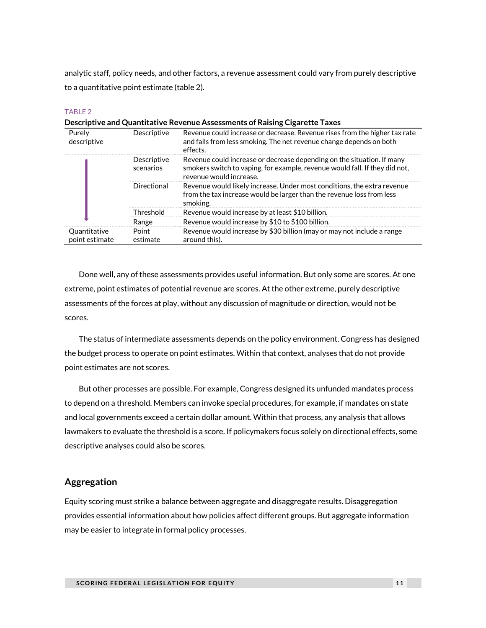analytic staff, policy needs, and other factors, a revenue assessment could vary from purely descriptive to a quantitative point estimate (table 2).

#### TABLE<sub>2</sub>

| Descriptive and Quantitative Revenue Assessments of Raising Cigarette Taxes |                          |                                                                                                                                                                                  |  |  |
|-----------------------------------------------------------------------------|--------------------------|----------------------------------------------------------------------------------------------------------------------------------------------------------------------------------|--|--|
| Purely<br>descriptive                                                       | Descriptive              | Revenue could increase or decrease. Revenue rises from the higher tax rate<br>and falls from less smoking. The net revenue change depends on both<br>effects.                    |  |  |
|                                                                             | Descriptive<br>scenarios | Revenue could increase or decrease depending on the situation. If many<br>smokers switch to vaping, for example, revenue would fall. If they did not,<br>revenue would increase. |  |  |
|                                                                             | Directional              | Revenue would likely increase. Under most conditions, the extra revenue<br>from the tax increase would be larger than the revenue loss from less<br>smoking.                     |  |  |
| Threshold<br>Range                                                          |                          | Revenue would increase by at least \$10 billion.                                                                                                                                 |  |  |
|                                                                             |                          | Revenue would increase by \$10 to \$100 billion.                                                                                                                                 |  |  |
| Quantitative<br>point estimate                                              | Point<br>estimate        | Revenue would increase by \$30 billion (may or may not include a range<br>around this).                                                                                          |  |  |

Done well, any of these assessments provides useful information. But only some are scores. At one extreme, point estimates of potential revenue are scores. At the other extreme, purely descriptive assessments of the forces at play, without any discussion of magnitude or direction, would not be scores.

The status of intermediate assessments depends on the policy environment. Congress has designed the budget process to operate on point estimates. Within that context, analyses that do not provide point estimates are not scores.

But other processes are possible. For example, Congress designed its unfunded mandates process to depend on a threshold. Members can invoke special procedures, for example, if mandates on state and local governments exceed a certain dollar amount. Within that process, any analysis that allows lawmakers to evaluate the threshold is a score. If policymakers focus solely on directional effects, some descriptive analyses could also be scores.

### **Aggregation**

Equity scoring must strike a balance between aggregate and disaggregate results. Disaggregation provides essential information about how policies affect different groups. But aggregate information may be easier to integrate in formal policy processes.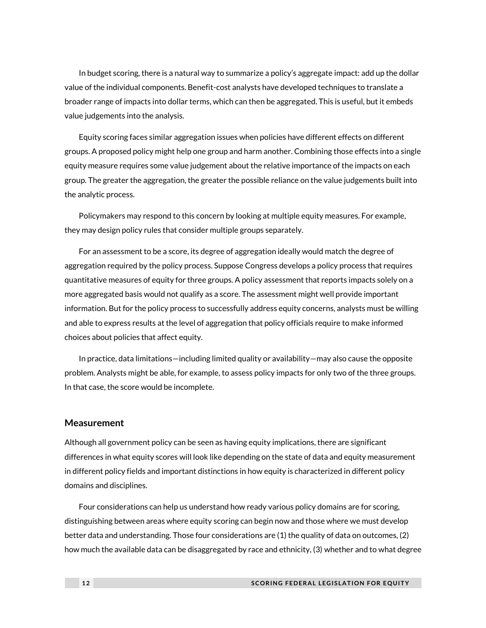In budget scoring, there is a natural way to summarize a policy's aggregate impact: add up the dollar value of the individual components. Benefit-cost analysts have developed techniques to translate a broader range of impacts into dollar terms, which can then be aggregated. This is useful, but it embeds value judgements into the analysis.

Equity scoring faces similar aggregation issues when policies have different effects on different groups. A proposed policy might help one group and harm another. Combining those effects into a single equity measure requires some value judgement about the relative importance of the impacts on each group. The greater the aggregation, the greater the possible reliance on the value judgements built into the analytic process.

Policymakers may respond to this concern by looking at multiple equity measures. For example, they may design policy rules that consider multiple groups separately.

For an assessment to be a score, its degree of aggregation ideally would match the degree of aggregation required by the policy process. Suppose Congress develops a policy process that requires quantitative measures of equity for three groups. A policy assessment that reports impacts solely on a more aggregated basis would not qualify as a score. The assessment might well provide important information. But for the policy process to successfully address equity concerns, analysts must be willing and able to express results at the level of aggregation that policy officials require to make informed choices about policies that affect equity.

In practice, data limitations—including limited quality or availability—may also cause the opposite problem. Analysts might be able, for example, to assess policy impacts for only two of the three groups. In that case, the score would be incomplete.

#### **Measurement**

Although all government policy can be seen as having equity implications, there are significant differences in what equity scores will look like depending on the state of data and equity measurement in different policy fields and important distinctions in how equity is characterized in different policy domains and disciplines.

Four considerations can help us understand how ready various policy domains are for scoring, distinguishing between areas where equity scoring can begin now and those where we must develop better data and understanding. Those four considerations are (1) the quality of data on outcomes, (2) how much the available data can be disaggregated by race and ethnicity, (3) whether and to what degree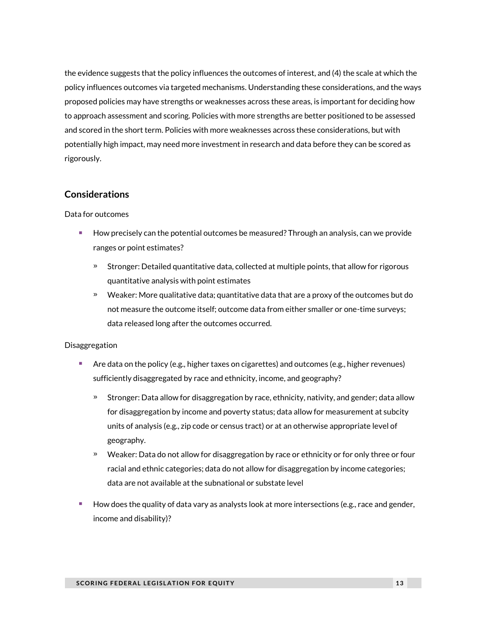the evidence suggests that the policy influences the outcomes of interest, and (4) the scale at which the policy influences outcomes via targeted mechanisms. Understanding these considerations, and the ways proposed policies may have strengths or weaknesses across these areas, is important for deciding how to approach assessment and scoring. Policies with more strengths are better positioned to be assessed and scored in the short term. Policies with more weaknesses across these considerations, but with potentially high impact, may need more investment in research and data before they can be scored as rigorously.

### **Considerations**

#### Data for outcomes

- How precisely can the potential outcomes be measured? Through an analysis, can we provide ranges or point estimates?
	- » Stronger: Detailed quantitative data, collected at multiple points, that allow for rigorous quantitative analysis with point estimates
	- » Weaker: More qualitative data; quantitative data that are a proxy of the outcomes but do not measure the outcome itself; outcome data from either smaller or one-time surveys; data released long after the outcomes occurred.

#### Disaggregation

- Are data on the policy (e.g., higher taxes on cigarettes) and outcomes (e.g., higher revenues) sufficiently disaggregated by race and ethnicity, income, and geography?
	- » Stronger: Data allow for disaggregation by race, ethnicity, nativity, and gender; data allow for disaggregation by income and poverty status; data allow for measurement at subcity units of analysis (e.g., zip code or census tract) or at an otherwise appropriate level of geography.
	- » Weaker: Data do not allow for disaggregation by race or ethnicity or for only three or four racial and ethnic categories; data do not allow for disaggregation by income categories; data are not available at the subnational or substate level
- How does the quality of data vary as analysts look at more intersections (e.g., race and gender, income and disability)?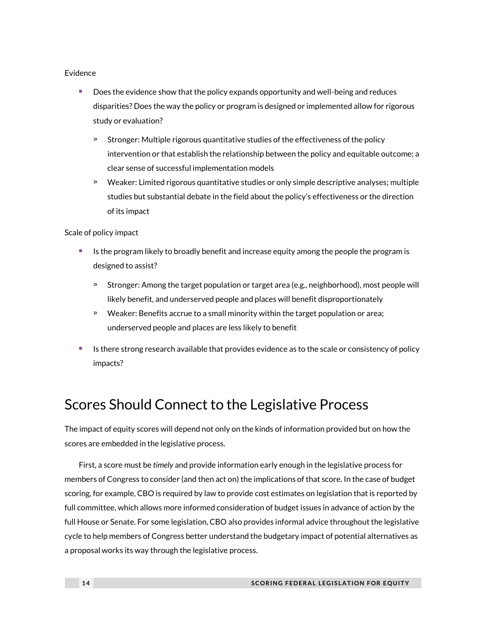#### Evidence

- Does the evidence show that the policy expands opportunity and well-being and reduces disparities? Does the way the policy or program is designed or implemented allow for rigorous study or evaluation?
	- » Stronger: Multiple rigorous quantitative studies of the effectiveness of the policy intervention or that establish the relationship between the policy and equitable outcome; a clear sense of successful implementation models
	- » Weaker: Limited rigorous quantitative studies or only simple descriptive analyses; multiple studies but substantial debate in the field about the policy's effectiveness or the direction of its impact

Scale of policy impact

- <sup>◼</sup> Is the program likely to broadly benefit and increase equity among the people the program is designed to assist?
	- » Stronger: Among the target population or target area (e.g., neighborhood), most people will likely benefit, and underserved people and places will benefit disproportionately
	- » Weaker: Benefits accrue to a small minority within the target population or area; underserved people and places are less likely to benefit
- Is there strong research available that provides evidence as to the scale or consistency of policy impacts?

## Scores Should Connect to the Legislative Process

The impact of equity scores will depend not only on the kinds of information provided but on how the scores are embedded in the legislative process.

First, a score must be *timely* and provide information early enough in the legislative process for members of Congress to consider (and then act on) the implications of that score. In the case of budget scoring, for example, CBO is required by law to provide cost estimates on legislation that is reported by full committee, which allows more informed consideration of budget issues in advance of action by the full House or Senate. For some legislation, CBO also provides informal advice throughout the legislative cycle to help members of Congress better understand the budgetary impact of potential alternatives as a proposal works its way through the legislative process.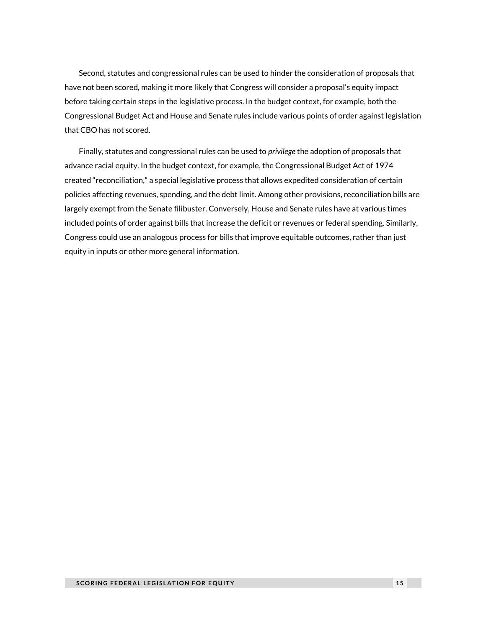Second, statutes and congressional rules can be used to hinder the consideration of proposals that have not been scored, making it more likely that Congress will consider a proposal's equity impact before taking certain steps in the legislative process. In the budget context, for example, both the Congressional Budget Act and House and Senate rules include various points of order against legislation that CBO has not scored.

Finally, statutes and congressional rules can be used to *privilege* the adoption of proposals that advance racial equity. In the budget context, for example, the Congressional Budget Act of 1974 created "reconciliation," a special legislative process that allows expedited consideration of certain policies affecting revenues, spending, and the debt limit. Among other provisions, reconciliation bills are largely exempt from the Senate filibuster. Conversely, House and Senate rules have at various times included points of order against bills that increase the deficit or revenues or federal spending. Similarly, Congress could use an analogous process for bills that improve equitable outcomes, rather than just equity in inputs or other more general information.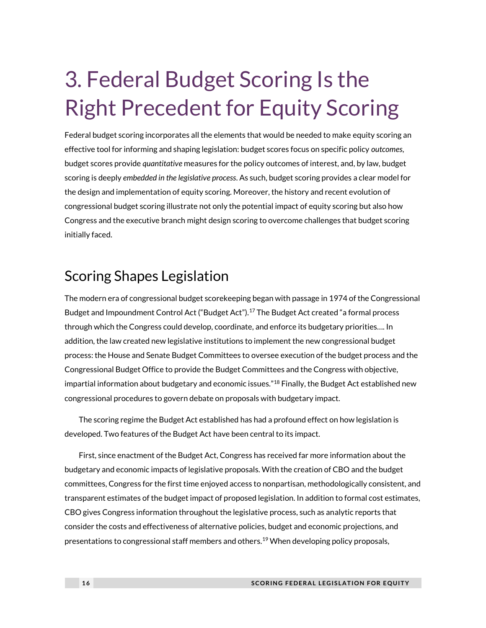## 3. Federal Budget Scoring Is the Right Precedent for Equity Scoring

Federal budget scoring incorporates all the elements that would be needed to make equity scoring an effective tool for informing and shaping legislation: budget scores focus on specific policy *outcomes*, budget scores provide *quantitative* measures for the policy outcomes of interest, and, by law, budget scoring is deeply *embedded in the legislative process*. As such, budget scoring provides a clear model for the design and implementation of equity scoring. Moreover, the history and recent evolution of congressional budget scoring illustrate not only the potential impact of equity scoring but also how Congress and the executive branch might design scoring to overcome challenges that budget scoring initially faced.

## Scoring Shapes Legislation

The modern era of congressional budget scorekeeping began with passage in 1974 of the Congressional Budget and Impoundment Control Act ("Budget Act").<sup>17</sup> The Budget Act created "a formal process through which the Congress could develop, coordinate, and enforce its budgetary priorities…. In addition, the law created new legislative institutions to implement the new congressional budget process: the House and Senate Budget Committees to oversee execution of the budget process and the Congressional Budget Office to provide the Budget Committees and the Congress with objective, impartial information about budgetary and economic issues."<sup>18</sup> Finally, the Budget Act established new congressional procedures to govern debate on proposals with budgetary impact.

The scoring regime the Budget Act established has had a profound effect on how legislation is developed. Two features of the Budget Act have been central to its impact.

First, since enactment of the Budget Act, Congress has received far more information about the budgetary and economic impacts of legislative proposals. With the creation of CBO and the budget committees, Congress for the first time enjoyed access to nonpartisan, methodologically consistent, and transparent estimates of the budget impact of proposed legislation. In addition to formal cost estimates, CBO gives Congress information throughout the legislative process, such as analytic reports that consider the costs and effectiveness of alternative policies, budget and economic projections, and presentations to congressional staff members and others.<sup>19</sup> When developing policy proposals,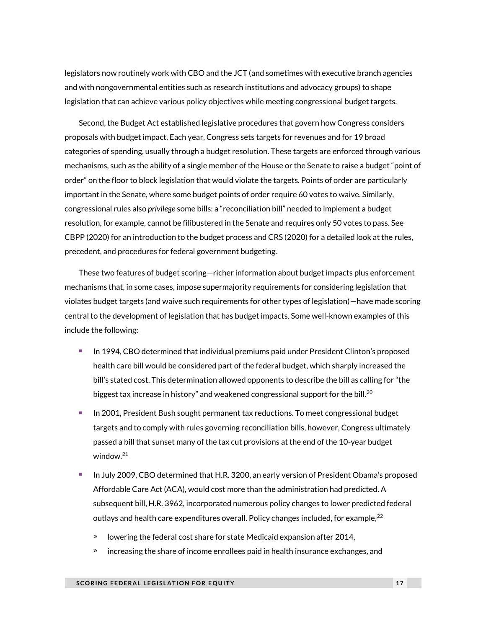legislators now routinely work with CBO and the JCT (and sometimes with executive branch agencies and with nongovernmental entities such as research institutions and advocacy groups) to shape legislation that can achieve various policy objectives while meeting congressional budget targets.

Second, the Budget Act established legislative procedures that govern how Congress considers proposals with budget impact. Each year, Congress sets targets for revenues and for 19 broad categories of spending, usually through a budget resolution. These targets are enforced through various mechanisms, such as the ability of a single member of the House or the Senate to raise a budget "point of order" on the floor to block legislation that would violate the targets. Points of order are particularly important in the Senate, where some budget points of order require 60 votes to waive. Similarly, congressional rules also *privilege* some bills: a "reconciliation bill" needed to implement a budget resolution, for example, cannot be filibustered in the Senate and requires only 50 votes to pass. See CBPP (2020) for an introduction to the budget process and CRS (2020) for a detailed look at the rules, precedent, and procedures for federal government budgeting.

These two features of budget scoring—richer information about budget impacts plus enforcement mechanisms that, in some cases, impose supermajority requirements for considering legislation that violates budget targets (and waive such requirements for other types of legislation)—have made scoring central to the development of legislation that has budget impacts. Some well-known examples of this include the following:

- <sup>◼</sup> In 1994, CBO determined that individual premiums paid under President Clinton's proposed health care bill would be considered part of the federal budget, which sharply increased the bill's stated cost. This determination allowed opponents to describe the bill as calling for "the biggest tax increase in history" and weakened congressional support for the bill.<sup>20</sup>
- <sup>◼</sup> In 2001, President Bush sought permanent tax reductions. To meet congressional budget targets and to comply with rules governing reconciliation bills, however, Congress ultimately passed a bill that sunset many of the tax cut provisions at the end of the 10-year budget window.<sup>21</sup>
- In July 2009, CBO determined that H.R. 3200, an early version of President Obama's proposed Affordable Care Act (ACA), would cost more than the administration had predicted. A subsequent bill, H.R. 3962, incorporated numerous policy changes to lower predicted federal outlays and health care expenditures overall. Policy changes included, for example,  $^{22}$ 
	- » lowering the federal cost share for state Medicaid expansion after 2014,
	- » increasing the share of income enrollees paid in health insurance exchanges, and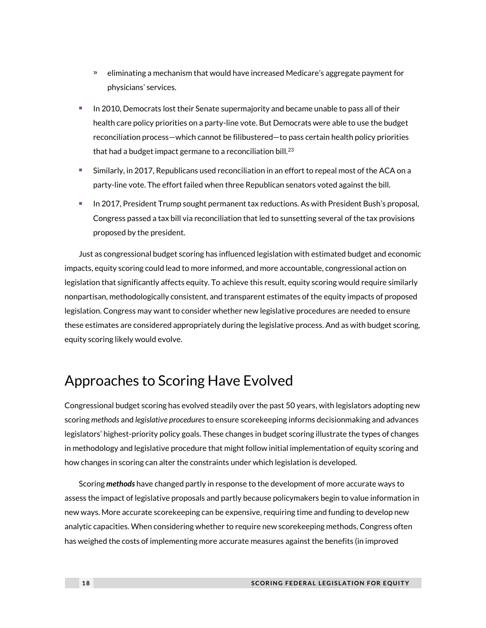- » eliminating a mechanism that would have increased Medicare's aggregate payment for physicians' services.
- In 2010, Democrats lost their Senate supermajority and became unable to pass all of their health care policy priorities on a party-line vote. But Democrats were able to use the budget reconciliation process—which cannot be filibustered—to pass certain health policy priorities that had a budget impact germane to a reconciliation bill. $^{23}$
- Similarly, in 2017, Republicans used reconciliation in an effort to repeal most of the ACA on a party-line vote. The effort failed when three Republican senators voted against the bill.
- In 2017, President Trump sought permanent tax reductions. As with President Bush's proposal, Congress passed a tax bill via reconciliation that led to sunsetting several of the tax provisions proposed by the president.

Just as congressional budget scoring has influenced legislation with estimated budget and economic impacts, equity scoring could lead to more informed, and more accountable, congressional action on legislation that significantly affects equity. To achieve this result, equity scoring would require similarly nonpartisan, methodologically consistent, and transparent estimates of the equity impacts of proposed legislation. Congress may want to consider whether new legislative procedures are needed to ensure these estimates are considered appropriately during the legislative process. And as with budget scoring, equity scoring likely would evolve.

## Approaches to Scoring Have Evolved

Congressional budget scoring has evolved steadily over the past 50 years, with legislators adopting new scoring *methods* and *legislative procedures*to ensure scorekeeping informs decisionmaking and advances legislators' highest-priority policy goals. These changes in budget scoring illustrate the types of changes in methodology and legislative procedure that might follow initial implementation of equity scoring and how changes in scoring can alter the constraints under which legislation is developed.

Scoring *methods* have changed partly in response to the development of more accurate ways to assess the impact of legislative proposals and partly because policymakers begin to value information in new ways. More accurate scorekeeping can be expensive, requiring time and funding to develop new analytic capacities. When considering whether to require new scorekeeping methods, Congress often has weighed the costs of implementing more accurate measures against the benefits (in improved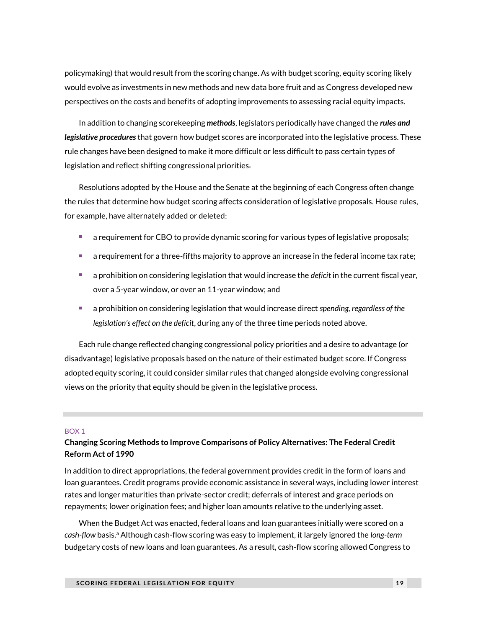policymaking) that would result from the scoring change. As with budget scoring, equity scoring likely would evolve as investments in new methods and new data bore fruit and as Congress developed new perspectives on the costs and benefits of adopting improvements to assessing racial equity impacts.

In addition to changing scorekeeping *methods*, legislators periodically have changed the *rules and legislative procedures* that govern how budget scores are incorporated into the legislative process. These rule changes have been designed to make it more difficult or less difficult to pass certain types of legislation and reflect shifting congressional priorities.

Resolutions adopted by the House and the Senate at the beginning of each Congress often change the rules that determine how budget scoring affects consideration of legislative proposals. House rules, for example, have alternately added or deleted:

- a requirement for CBO to provide dynamic scoring for various types of legislative proposals;
- a requirement for a three-fifths majority to approve an increase in the federal income tax rate;
- a prohibition on considering legislation that would increase the *deficit* in the current fiscal year, over a 5-year window, or over an 11-year window; and
- a prohibition on considering legislation that would increase direct *spending, regardless of the legislation's effect on the deficit*, during any of the three time periods noted above.

Each rule change reflected changing congressional policy priorities and a desire to advantage (or disadvantage) legislative proposals based on the nature of their estimated budget score. If Congress adopted equity scoring, it could consider similar rules that changed alongside evolving congressional views on the priority that equity should be given in the legislative process.

#### BOX 1

### **Changing Scoring Methods to Improve Comparisons of Policy Alternatives: The Federal Credit Reform Act of 1990**

In addition to direct appropriations, the federal government provides credit in the form of loans and loan guarantees. Credit programs provide economic assistance in several ways, including lower interest rates and longer maturities than private-sector credit; deferrals of interest and grace periods on repayments; lower origination fees; and higher loan amounts relative to the underlying asset.

When the Budget Act was enacted, federal loans and loan guarantees initially were scored on a cash-flow basis.<sup>a</sup> Although cash-flow scoring was easy to implement, it largely ignored the *long-term* budgetary costs of new loans and loan guarantees. As a result, cash-flow scoring allowed Congress to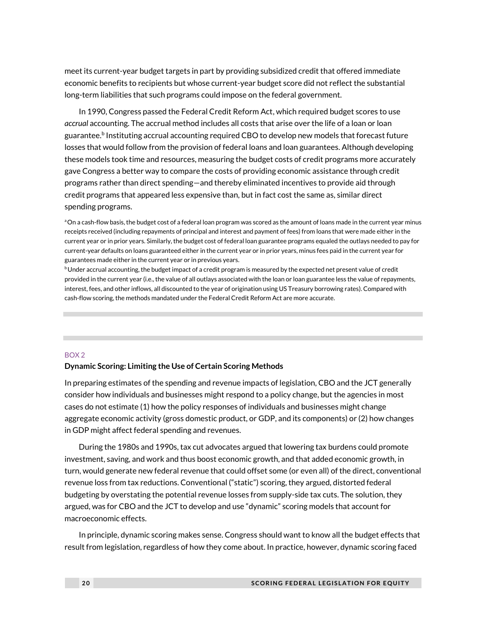meet its current-year budget targets in part by providing subsidized credit that offered immediate economic benefits to recipients but whose current-year budget score did not reflect the substantial long-term liabilities that such programs could impose on the federal government.

In 1990, Congress passed the Federal Credit Reform Act, which required budget scores to use *accrual* accounting. The accrual method includes all costs that arise over the life of a loan or loan guarantee. $^{\rm b}$  Instituting accrual accounting required CBO to develop new models that forecast future losses that would follow from the provision of federal loans and loan guarantees. Although developing these models took time and resources, measuring the budget costs of credit programs more accurately gave Congress a better way to compare the costs of providing economic assistance through credit programs rather than direct spending—and thereby eliminated incentives to provide aid through credit programs that appeared less expensive than, but in fact cost the same as, similar direct spending programs.

aOn a cash-flow basis, the budget cost of a federal loan program was scored as the amount of loans made in the current year minus receipts received (including repayments of principal and interest and payment of fees) from loans that were made either in the current year or in prior years. Similarly, the budget cost of federal loan guarantee programs equaled the outlays needed to pay for current-year defaults on loans guaranteed either in the current year or in prior years, minus fees paid in the current year for guarantees made either in the current year or in previous years.

**b**Under accrual accounting, the budget impact of a credit program is measured by the expected net present value of credit provided in the current year (i.e., the value of all outlays associated with the loan or loan guarantee less the value of repayments, interest, fees, and other inflows, all discounted to the year of origination using US Treasury borrowing rates). Compared with cash-flow scoring, the methods mandated under the Federal Credit Reform Act are more accurate.

#### BOX 2

#### **Dynamic Scoring: Limiting the Use of Certain Scoring Methods**

In preparing estimates of the spending and revenue impacts of legislation, CBO and the JCT generally consider how individuals and businesses might respond to a policy change, but the agencies in most cases do not estimate (1) how the policy responses of individuals and businesses might change aggregate economic activity (gross domestic product, or GDP, and its components) or (2) how changes in GDP might affect federal spending and revenues.

During the 1980s and 1990s, tax cut advocates argued that lowering tax burdens could promote investment, saving, and work and thus boost economic growth, and that added economic growth, in turn, would generate new federal revenue that could offset some (or even all) of the direct, conventional revenue loss from tax reductions. Conventional ("static") scoring, they argued, distorted federal budgeting by overstating the potential revenue losses from supply-side tax cuts. The solution, they argued, was for CBO and the JCT to develop and use "dynamic" scoring models that account for macroeconomic effects.

In principle, dynamic scoring makes sense. Congress should want to know all the budget effects that result from legislation, regardless of how they come about. In practice, however, dynamic scoring faced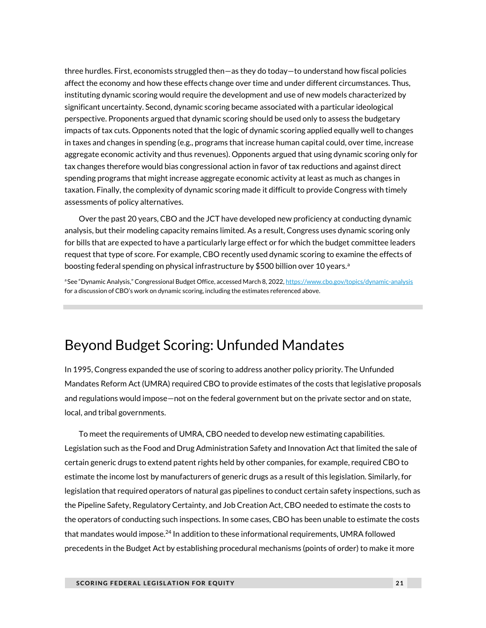three hurdles. First, economists struggled then—as they do today—to understand how fiscal policies affect the economy and how these effects change over time and under different circumstances. Thus, instituting dynamic scoring would require the development and use of new models characterized by significant uncertainty. Second, dynamic scoring became associated with a particular ideological perspective. Proponents argued that dynamic scoring should be used only to assess the budgetary impacts of tax cuts. Opponents noted that the logic of dynamic scoring applied equally well to changes in taxes and changes in spending (e.g., programs that increase human capital could, over time, increase aggregate economic activity and thus revenues). Opponents argued that using dynamic scoring only for tax changes therefore would bias congressional action in favor of tax reductions and against direct spending programs that might increase aggregate economic activity at least as much as changes in taxation. Finally, the complexity of dynamic scoring made it difficult to provide Congress with timely assessments of policy alternatives.

Over the past 20 years, CBO and the JCT have developed new proficiency at conducting dynamic analysis, but their modeling capacity remains limited. As a result, Congress uses dynamic scoring only for bills that are expected to have a particularly large effect or for which the budget committee leaders request that type of score. For example, CBO recently used dynamic scoring to examine the effects of boosting federal spending on physical infrastructure by \$500 billion over 10 years.<sup>a</sup>

aSee "Dynamic Analysis," Congressional Budget Office, accessed March 8, 2022, <https://www.cbo.gov/topics/dynamic-analysis> for a discussion of CBO's work on dynamic scoring, including the estimates referenced above.

## Beyond Budget Scoring: Unfunded Mandates

In 1995, Congress expanded the use of scoring to address another policy priority. The Unfunded Mandates Reform Act (UMRA) required CBO to provide estimates of the costs that legislative proposals and regulations would impose—not on the federal government but on the private sector and on state, local, and tribal governments.

To meet the requirements of UMRA, CBO needed to develop new estimating capabilities. Legislation such as the Food and Drug Administration Safety and Innovation Act that limited the sale of certain generic drugs to extend patent rights held by other companies, for example, required CBO to estimate the income lost by manufacturers of generic drugs as a result of this legislation. Similarly, for legislation that required operators of natural gas pipelines to conduct certain safety inspections, such as the Pipeline Safety, Regulatory Certainty, and Job Creation Act, CBO needed to estimate the costs to the operators of conducting such inspections. In some cases, CBO has been unable to estimate the costs that mandates would impose.<sup>24</sup> In addition to these informational requirements, UMRA followed precedents in the Budget Act by establishing procedural mechanisms (points of order) to make it more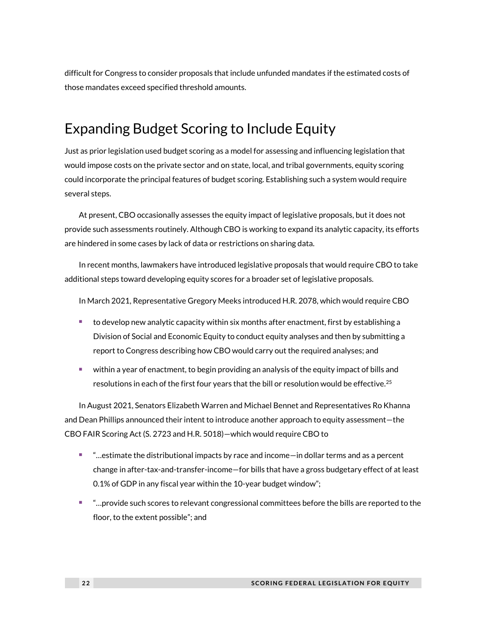difficult for Congress to consider proposals that include unfunded mandates if the estimated costs of those mandates exceed specified threshold amounts.

## Expanding Budget Scoring to Include Equity

Just as prior legislation used budget scoring as a model for assessing and influencing legislation that would impose costs on the private sector and on state, local, and tribal governments, equity scoring could incorporate the principal features of budget scoring. Establishing such a system would require several steps.

At present, CBO occasionally assesses the equity impact of legislative proposals, but it does not provide such assessments routinely. Although CBO is working to expand its analytic capacity, its efforts are hindered in some cases by lack of data or restrictions on sharing data.

In recent months, lawmakers have introduced legislative proposals that would require CBO to take additional steps toward developing equity scores for a broader set of legislative proposals.

In March 2021, Representative Gregory Meeks introduced H.R. 2078, which would require CBO

- to develop new analytic capacity within six months after enactment, first by establishing a Division of Social and Economic Equity to conduct equity analyses and then by submitting a report to Congress describing how CBO would carry out the required analyses; and
- within a year of enactment, to begin providing an analysis of the equity impact of bills and resolutions in each of the first four years that the bill or resolution would be effective.<sup>25</sup>

In August 2021, Senators Elizabeth Warren and Michael Bennet and Representatives Ro Khanna and Dean Phillips announced their intent to introduce another approach to equity assessment—the CBO FAIR Scoring Act (S. 2723 and H.R. 5018)—which would require CBO to

- "…estimate the distributional impacts by race and income—in dollar terms and as a percent change in after-tax-and-transfer-income—for bills that have a gross budgetary effect of at least 0.1% of GDP in any fiscal year within the 10-year budget window";
- "…provide such scores to relevant congressional committees before the bills are reported to the floor, to the extent possible"; and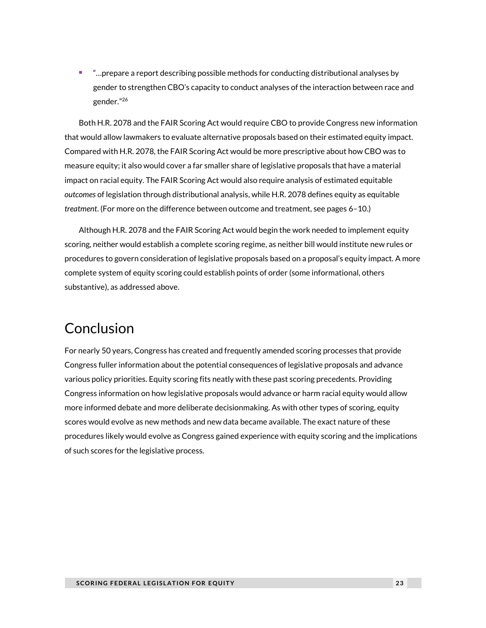<sup>◼</sup> "…prepare a report describing possible methods for conducting distributional analyses by gender to strengthen CBO's capacity to conduct analyses of the interaction between race and gender."<sup>26</sup>

Both H.R. 2078 and the FAIR Scoring Act would require CBO to provide Congress new information that would allow lawmakers to evaluate alternative proposals based on their estimated equity impact. Compared with H.R. 2078, the FAIR Scoring Act would be more prescriptive about how CBO was to measure equity; it also would cover a far smaller share of legislative proposals that have a material impact on racial equity. The FAIR Scoring Act would also require analysis of estimated equitable *outcomes* of legislation through distributional analysis, while H.R. 2078 defines equity as equitable *treatment*. (For more on the difference between outcome and treatment, see pages 6–10.)

Although H.R. 2078 and the FAIR Scoring Act would begin the work needed to implement equity scoring, neither would establish a complete scoring regime, as neither bill would institute new rules or procedures to govern consideration of legislative proposals based on a proposal's equity impact. A more complete system of equity scoring could establish points of order (some informational, others substantive), as addressed above.

## Conclusion

For nearly 50 years, Congress has created and frequently amended scoring processes that provide Congress fuller information about the potential consequences of legislative proposals and advance various policy priorities. Equity scoring fits neatly with these past scoring precedents. Providing Congress information on how legislative proposals would advance or harm racial equity would allow more informed debate and more deliberate decisionmaking. As with other types of scoring, equity scores would evolve as new methods and new data became available. The exact nature of these procedures likely would evolve as Congress gained experience with equity scoring and the implications of such scores for the legislative process.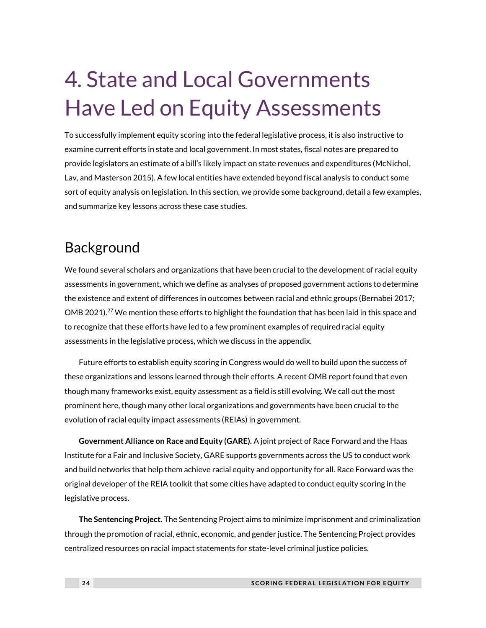## 4. State and Local Governments Have Led on Equity Assessments

To successfully implement equity scoring into the federal legislative process, it is also instructive to examine current efforts in state and local government. In most states, fiscal notes are prepared to provide legislators an estimate of a bill's likely impact on state revenues and expenditures (McNichol, Lav, and Masterson 2015). A few local entities have extended beyond fiscal analysis to conduct some sort of equity analysis on legislation. In this section, we provide some background, detail a few examples, and summarize key lessons across these case studies.

## Background

We found several scholars and organizations that have been crucial to the development of racial equity assessments in government, which we define as analyses of proposed government actions to determine the existence and extent of differences in outcomes between racial and ethnic groups (Bernabei 2017; OMB 2021).<sup>27</sup> We mention these efforts to highlight the foundation that has been laid in this space and to recognize that these efforts have led to a few prominent examples of required racial equity assessments in the legislative process, which we discuss in the appendix.

Future efforts to establish equity scoring in Congress would do well to build upon the success of these organizations and lessons learned through their efforts. A recent OMB report found that even though many frameworks exist, equity assessment as a field is still evolving. We call out the most prominent here, though many other local organizations and governments have been crucial to the evolution of racial equity impact assessments (REIAs) in government.

**Government Alliance on Race and Equity (GARE).** A joint project of Race Forward and the Haas Institute for a Fair and Inclusive Society, GARE supports governments across the US to conduct work and build networks that help them achieve racial equity and opportunity for all. Race Forward was the original developer of the REIA toolkit that some cities have adapted to conduct equity scoring in the legislative process.

**The Sentencing Project.** The Sentencing Project aims to minimize imprisonment and criminalization through the promotion of racial, ethnic, economic, and gender justice. The Sentencing Project provides centralized resources on racial impact statements for state-level criminal justice policies.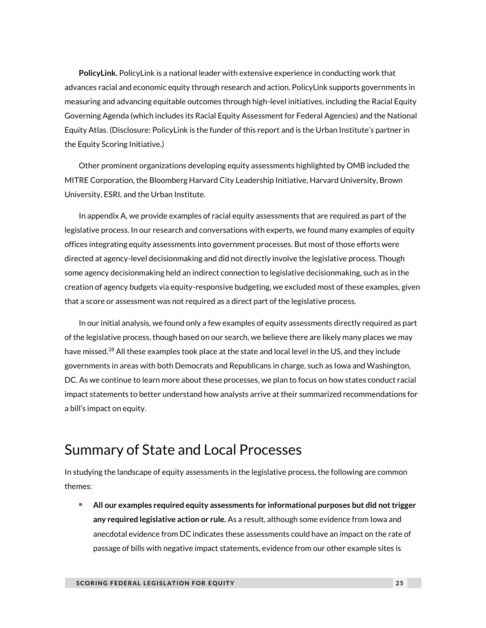**PolicyLink.** PolicyLink is a national leader with extensive experience in conducting work that advances racial and economic equity through research and action. PolicyLink supports governments in measuring and advancing equitable outcomes through high-level initiatives, including the Racial Equity Governing Agenda (which includes its Racial Equity Assessment for Federal Agencies) and the National Equity Atlas. (Disclosure: PolicyLink is the funder of this report and is the Urban Institute's partner in the Equity Scoring Initiative.)

Other prominent organizations developing equity assessments highlighted by OMB included the MITRE Corporation, the Bloomberg Harvard City Leadership Initiative, Harvard University, Brown University, ESRI, and the Urban Institute.

In appendix A, we provide examples of racial equity assessments that are required as part of the legislative process. In our research and conversations with experts, we found many examples of equity offices integrating equity assessments into government processes. But most of those efforts were directed at agency-level decisionmaking and did not directly involve the legislative process. Though some agency decisionmaking held an indirect connection to legislative decisionmaking, such as in the creation of agency budgets via equity-responsive budgeting, we excluded most of these examples, given that a score or assessment was not required as a direct part of the legislative process.

In our initial analysis, we found only a few examples of equity assessments directly required as part of the legislative process, though based on our search, we believe there are likely many places we may have missed.<sup>28</sup> All these examples took place at the state and local level in the US, and they include governments in areas with both Democrats and Republicans in charge, such as Iowa and Washington, DC. As we continue to learn more about these processes, we plan to focus on how states conduct racial impact statements to better understand how analysts arrive at their summarized recommendations for a bill's impact on equity.

## Summary of State and Local Processes

In studying the landscape of equity assessments in the legislative process, the following are common themes:

■ All our examples required equity assessments for informational purposes but did not trigger **any required legislative action or rule.** As a result, although some evidence from Iowa and anecdotal evidence from DC indicates these assessments could have an impact on the rate of passage of bills with negative impact statements, evidence from our other example sites is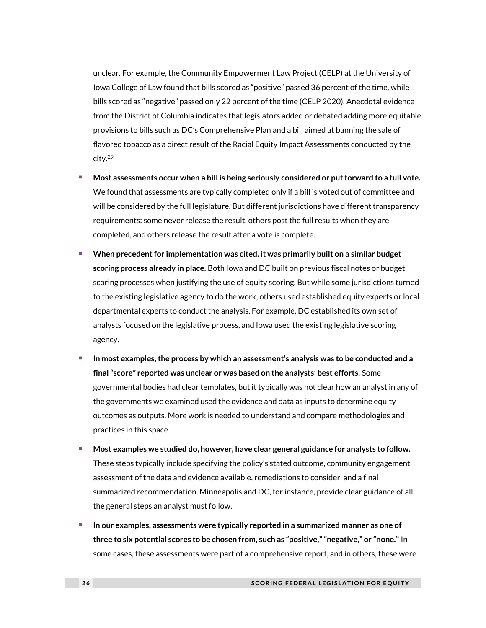unclear. For example, the Community Empowerment Law Project (CELP) at the University of Iowa College of Law found that bills scored as "positive" passed 36 percent of the time, while bills scored as "negative" passed only 22 percent of the time (CELP 2020). Anecdotal evidence from the District of Columbia indicates that legislators added or debated adding more equitable provisions to bills such as DC's Comprehensive Plan and a bill aimed at banning the sale of flavored tobacco as a direct result of the Racial Equity Impact Assessments conducted by the city.<sup>29</sup>

- <sup>◼</sup> **Most assessments occur when a bill is being seriously considered or put forward to a full vote.** We found that assessments are typically completed only if a bill is voted out of committee and will be considered by the full legislature. But different jurisdictions have different transparency requirements: some never release the result, others post the full results when they are completed, and others release the result after a vote is complete.
- <sup>◼</sup> **When precedent for implementation was cited, it was primarily built on a similar budget scoring process already in place.** Both Iowa and DC built on previous fiscal notes or budget scoring processes when justifying the use of equity scoring. But while some jurisdictions turned to the existing legislative agency to do the work, others used established equity experts or local departmental experts to conduct the analysis. For example, DC established its own set of analysts focused on the legislative process, and Iowa used the existing legislative scoring agency.
- <sup>◼</sup> **In most examples, the process by which an assessment's analysis was to be conducted and a final "score" reported was unclear or was based on the analysts' best efforts.** Some governmental bodies had clear templates, but it typically was not clear how an analyst in any of the governments we examined used the evidence and data as inputs to determine equity outcomes as outputs. More work is needed to understand and compare methodologies and practices in this space.
- <sup>◼</sup> **Most examples we studied do, however, have clear general guidance for analysts to follow.** These steps typically include specifying the policy's stated outcome, community engagement, assessment of the data and evidence available, remediations to consider, and a final summarized recommendation. Minneapolis and DC, for instance, provide clear guidance of all the general steps an analyst must follow.
- <sup>◼</sup> **In our examples, assessments were typically reported in a summarized manner as one of three to six potential scores to be chosen from, such as "positive," "negative," or "none."** In some cases, these assessments were part of a comprehensive report, and in others, these were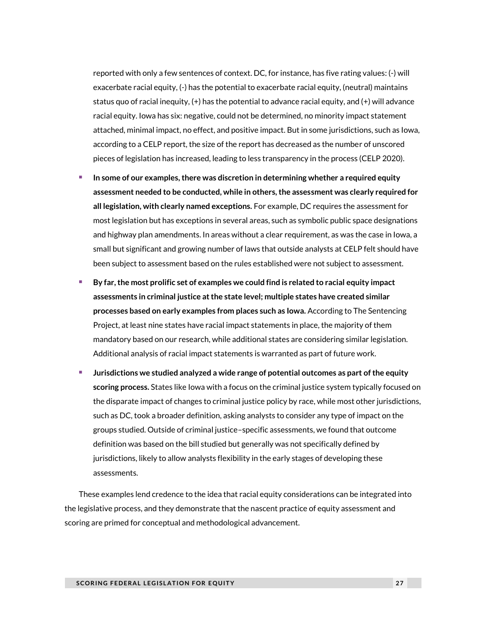reported with only a few sentences of context. DC, for instance, has five rating values: (-) will exacerbate racial equity, (-) has the potential to exacerbate racial equity, (neutral) maintains status quo of racial inequity, (+) has the potential to advance racial equity, and (+) will advance racial equity. Iowa has six: negative, could not be determined, no minority impact statement attached, minimal impact, no effect, and positive impact. But in some jurisdictions, such as Iowa, according to a CELP report, the size of the report has decreased as the number of unscored pieces of legislation has increased, leading to less transparency in the process (CELP 2020).

- <sup>◼</sup> **In some of our examples, there was discretion in determining whether a required equity assessment needed to be conducted, while in others, the assessment was clearly required for all legislation, with clearly named exceptions.** For example, DC requires the assessment for most legislation but has exceptions in several areas, such as symbolic public space designations and highway plan amendments. In areas without a clear requirement, as was the case in Iowa, a small but significant and growing number of laws that outside analysts at CELP felt should have been subject to assessment based on the rules established were not subject to assessment.
- <sup>◼</sup> **By far, the most prolific set of examples we could find is related to racial equity impact assessments in criminal justice at the state level; multiple states have created similar processes based on early examples from places such as Iowa.** According to The Sentencing Project, at least nine states have racial impact statements in place, the majority of them mandatory based on our research, while additional states are considering similar legislation. Additional analysis of racial impact statements is warranted as part of future work.
- <sup>◼</sup> **Jurisdictions we studied analyzed a wide range of potential outcomes as part of the equity scoring process.** States like Iowa with a focus on the criminal justice system typically focused on the disparate impact of changes to criminal justice policy by race, while most other jurisdictions, such as DC, took a broader definition, asking analysts to consider any type of impact on the groups studied. Outside of criminal justice–specific assessments, we found that outcome definition was based on the bill studied but generally was not specifically defined by jurisdictions, likely to allow analysts flexibility in the early stages of developing these assessments.

These examples lend credence to the idea that racial equity considerations can be integrated into the legislative process, and they demonstrate that the nascent practice of equity assessment and scoring are primed for conceptual and methodological advancement.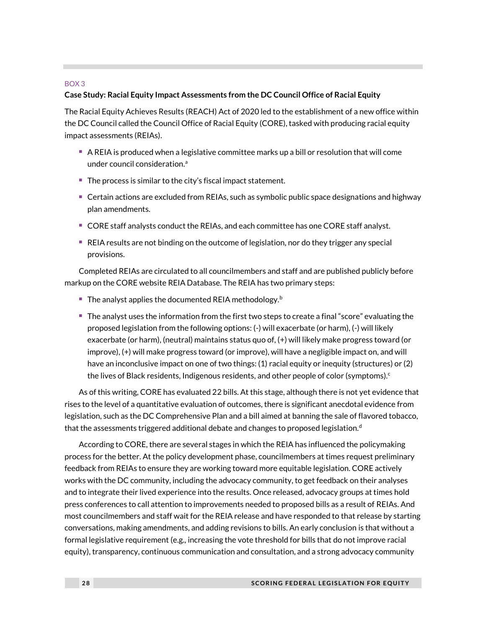#### BOX 3

#### **Case Study: Racial Equity Impact Assessments from the DC Council Office of Racial Equity**

The Racial Equity Achieves Results (REACH) Act of 2020 led to the establishment of a new office within the DC Council called the Council Office of Racial Equity (CORE), tasked with producing racial equity impact assessments (REIAs).

- $\blacksquare$  A REIA is produced when a legislative committee marks up a bill or resolution that will come under council consideration.<sup>a</sup>
- The process is similar to the city's fiscal impact statement.
- Certain actions are excluded from REIAs, such as symbolic public space designations and highway plan amendments.
- CORE staff analysts conduct the REIAs, and each committee has one CORE staff analyst.
- REIA results are not binding on the outcome of legislation, nor do they trigger any special provisions.

Completed REIAs are circulated to all councilmembers and staff and are published publicly before markup on the CORE website REIA Database. The REIA has two primary steps:

- The analyst applies the documented REIA methodology.<sup>b</sup>
- The analyst uses the information from the first two steps to create a final "score" evaluating the proposed legislation from the following options: (-) will exacerbate (or harm), (-) will likely exacerbate (or harm), (neutral) maintains status quo of, (+) will likely make progress toward (or improve), (+) will make progress toward (or improve), will have a negligible impact on, and will have an inconclusive impact on one of two things: (1) racial equity or inequity (structures) or (2) the lives of Black residents, Indigenous residents, and other people of color (symptoms). $\epsilon$

As of this writing, CORE has evaluated 22 bills. At this stage, although there is not yet evidence that rises to the level of a quantitative evaluation of outcomes, there is significant anecdotal evidence from legislation, such as the DC Comprehensive Plan and a bill aimed at banning the sale of flavored tobacco, that the assessments triggered additional debate and changes to proposed legislation.<sup>d</sup>

According to CORE, there are several stages in which the REIA has influenced the policymaking process for the better. At the policy development phase, councilmembers at times request preliminary feedback from REIAs to ensure they are working toward more equitable legislation. CORE actively works with the DC community, including the advocacy community, to get feedback on their analyses and to integrate their lived experience into the results. Once released, advocacy groups at times hold press conferences to call attention to improvements needed to proposed bills as a result of REIAs. And most councilmembers and staff wait for the REIA release and have responded to that release by starting conversations, making amendments, and adding revisions to bills. An early conclusion is that without a formal legislative requirement (e.g., increasing the vote threshold for bills that do not improve racial equity), transparency, continuous communication and consultation, and a strong advocacy community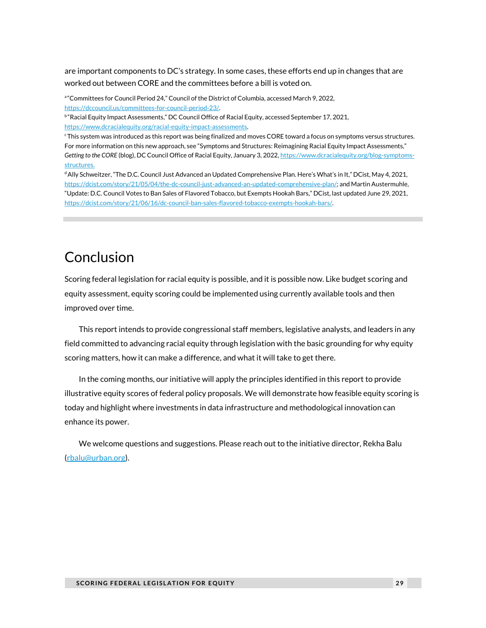are important components to DC's strategy. In some cases, these efforts end up in changes that are worked out between CORE and the committees before a bill is voted on.

a"Committees for Council Period 24," Council of the District of Columbia, accessed March 9, 2022, [https://dccouncil.us/committees-for-council-period-23/.](https://dccouncil.us/committees-for-council-period-23/)

<sup>b</sup>"Racial Equity Impact Assessments," DC Council Office of Racial Equity, accessed September 17, 2021, [https://www.dcracialequity.org/racial-equity-impact-assessments.](https://www.dcracialequity.org/racial-equity-impact-assessments)

<sup>c</sup>This system was introduced as this report was being finalized and moves CORE toward a focus on symptoms versus structures. For more information on this new approach, see "Symptoms and Structures: Reimagining Racial Equity Impact Assessments," Getting to the CORE (blog), DC Council Office of Racial Equity, January 3, 2022[, https://www.dcracialequity.org/blog-symptoms](https://www.dcracialequity.org/blog-symptoms-structures)[structures.](https://www.dcracialequity.org/blog-symptoms-structures)

<sup>d</sup> Ally Schweitzer, "The D.C. Council Just Advanced an Updated Comprehensive Plan. Here's What's in It," DCist, May 4, 2021, [https://dcist.com/story/21/05/04/the-dc-council-just-advanced-an-updated-comprehensive-plan/;](https://dcist.com/story/21/05/04/the-dc-council-just-advanced-an-updated-comprehensive-plan/) and Martin Austermuhle, "Update: D.C. Council Votes to Ban Sales of Flavored Tobacco, but Exempts Hookah Bars," DCist, last updated June 29, 2021, [https://dcist.com/story/21/06/16/dc-council-ban-sales-flavored-tobacco-exempts-hookah-bars/.](https://dcist.com/story/21/06/16/dc-council-ban-sales-flavored-tobacco-exempts-hookah-bars/) 

## Conclusion

Scoring federal legislation for racial equity is possible, and it is possible now. Like budget scoring and equity assessment, equity scoring could be implemented using currently available tools and then improved over time.

This report intends to provide congressional staff members, legislative analysts, and leaders in any field committed to advancing racial equity through legislation with the basic grounding for why equity scoring matters, how it can make a difference, and what it will take to get there.

In the coming months, our initiative will apply the principles identified in this report to provide illustrative equity scores of federal policy proposals. We will demonstrate how feasible equity scoring is today and highlight where investments in data infrastructure and methodological innovation can enhance its power.

We welcome questions and suggestions. Please reach out to the initiative director, Rekha Balu [\(rbalu@urban.org\)](mailto:rbalu@urban.org).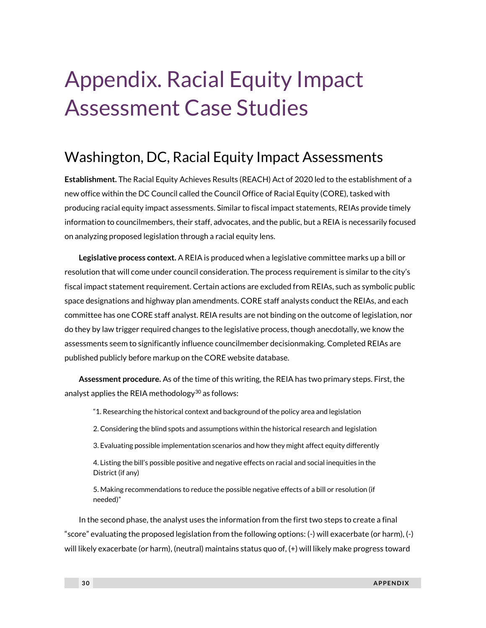## Appendix. Racial Equity Impact Assessment Case Studies

## Washington, DC, Racial Equity Impact Assessments

**Establishment.** The Racial Equity Achieves Results (REACH) Act of 2020 led to the establishment of a new office within the DC Council called the Council Office of Racial Equity (CORE), tasked with producing racial equity impact assessments. Similar to fiscal impact statements, REIAs provide timely information to councilmembers, their staff, advocates, and the public, but a REIA is necessarily focused on analyzing proposed legislation through a racial equity lens.

**Legislative process context.** A REIA is produced when a legislative committee marks up a bill or resolution that will come under council consideration. The process requirement is similar to the city's fiscal impact statement requirement. Certain actions are excluded from REIAs, such as symbolic public space designations and highway plan amendments. CORE staff analysts conduct the REIAs, and each committee has one CORE staff analyst. REIA results are not binding on the outcome of legislation, nor do they by law trigger required changes to the legislative process, though anecdotally, we know the assessments seem to significantly influence councilmember decisionmaking. Completed REIAs are published publicly before markup on the CORE website database.

**Assessment procedure.** As of the time of this writing, the REIA has two primary steps. First, the analyst applies the REIA methodology<sup>30</sup> as follows:

"1. Researching the historical context and background of the policy area and legislation

2. Considering the blind spots and assumptions within the historical research and legislation

3. Evaluating possible implementation scenarios and how they might affect equity differently

4. Listing the bill's possible positive and negative effects on racial and social inequities in the District (if any)

5. Making recommendations to reduce the possible negative effects of a bill or resolution (if needed)"

In the second phase, the analyst uses the information from the first two steps to create a final "score" evaluating the proposed legislation from the following options: (-) will exacerbate (or harm), (-) will likely exacerbate (or harm), (neutral) maintains status quo of, (+) will likely make progress toward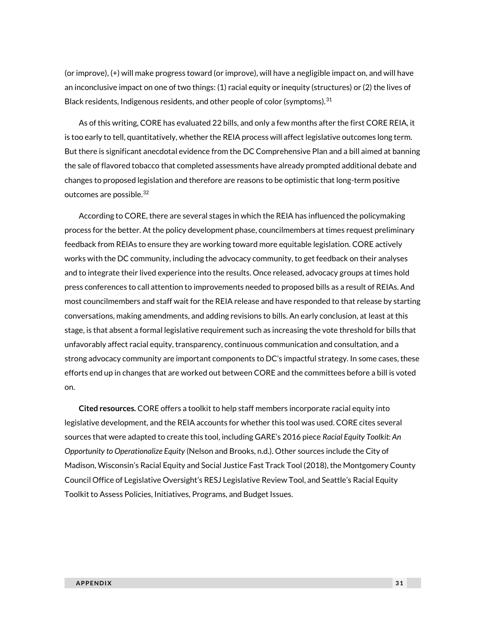(or improve), (+) will make progress toward (or improve), will have a negligible impact on, and will have an inconclusive impact on one of two things: (1) racial equity or inequity (structures) or (2) the lives of Black residents, Indigenous residents, and other people of color (symptoms).<sup>31</sup>

As of this writing, CORE has evaluated 22 bills, and only a few months after the first CORE REIA, it is too early to tell, quantitatively, whether the REIA process will affect legislative outcomes long term. But there is significant anecdotal evidence from the DC Comprehensive Plan and a bill aimed at banning the sale of flavored tobacco that completed assessments have already prompted additional debate and changes to proposed legislation and therefore are reasons to be optimistic that long-term positive outcomes are possible.<sup>32</sup>

According to CORE, there are several stages in which the REIA has influenced the policymaking process for the better. At the policy development phase, councilmembers at times request preliminary feedback from REIAs to ensure they are working toward more equitable legislation. CORE actively works with the DC community, including the advocacy community, to get feedback on their analyses and to integrate their lived experience into the results. Once released, advocacy groups at times hold press conferences to call attention to improvements needed to proposed bills as a result of REIAs. And most councilmembers and staff wait for the REIA release and have responded to that release by starting conversations, making amendments, and adding revisions to bills. An early conclusion, at least at this stage, is that absent a formal legislative requirement such as increasing the vote threshold for bills that unfavorably affect racial equity, transparency, continuous communication and consultation, and a strong advocacy community are important components to DC's impactful strategy. In some cases, these efforts end up in changes that are worked out between CORE and the committees before a bill is voted on.

**Cited resources.** CORE offers a toolkit to help staff members incorporate racial equity into legislative development, and the REIA accounts for whether this tool was used. CORE cites several sources that were adapted to create this tool, including GARE's 2016 piece *Racial Equity Toolkit: An Opportunity to Operationalize Equity* (Nelson and Brooks, n.d.). Other sources include the City of Madison, Wisconsin's Racial Equity and Social Justice Fast Track Tool (2018), the Montgomery County Council Office of Legislative Oversight's RESJ Legislative Review Tool, and Seattle's Racial Equity Toolkit to Assess Policies, Initiatives, Programs, and Budget Issues.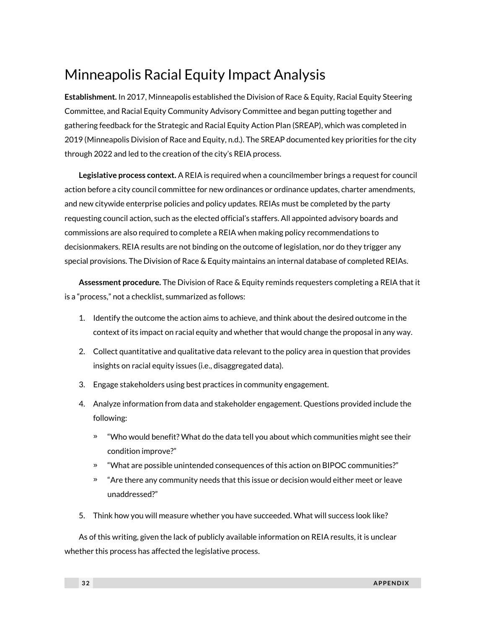## Minneapolis Racial Equity Impact Analysis

**Establishment.** In 2017, Minneapolis established the Division of Race & Equity, Racial Equity Steering Committee, and Racial Equity Community Advisory Committee and began putting together and gathering feedback for the Strategic and Racial Equity Action Plan (SREAP), which was completed in 2019 (Minneapolis Division of Race and Equity, n.d.). The SREAP documented key priorities for the city through 2022 and led to the creation of the city's REIA process.

**Legislative process context.** A REIA is required when a councilmember brings a request for council action before a city council committee for new ordinances or ordinance updates, charter amendments, and new citywide enterprise policies and policy updates. REIAs must be completed by the party requesting council action, such as the elected official's staffers. All appointed advisory boards and commissions are also required to complete a REIA when making policy recommendations to decisionmakers. REIA results are not binding on the outcome of legislation, nor do they trigger any special provisions. The Division of Race & Equity maintains an internal database of completed REIAs.

**Assessment procedure.** The Division of Race & Equity reminds requesters completing a REIA that it is a "process," not a checklist, summarized as follows:

- 1. Identify the outcome the action aims to achieve, and think about the desired outcome in the context of its impact on racial equity and whether that would change the proposal in any way.
- 2. Collect quantitative and qualitative data relevant to the policy area in question that provides insights on racial equity issues (i.e., disaggregated data).
- 3. Engage stakeholders using best practices in community engagement.
- 4. Analyze information from data and stakeholder engagement. Questions provided include the following:
	- » "Who would benefit? What do the data tell you about which communities might see their condition improve?"
	- » "What are possible unintended consequences of this action on BIPOC communities?"
	- » "Are there any community needs that this issue or decision would either meet or leave unaddressed?"
- 5. Think how you will measure whether you have succeeded. What will success look like?

As of this writing, given the lack of publicly available information on REIA results, it is unclear whether this process has affected the legislative process.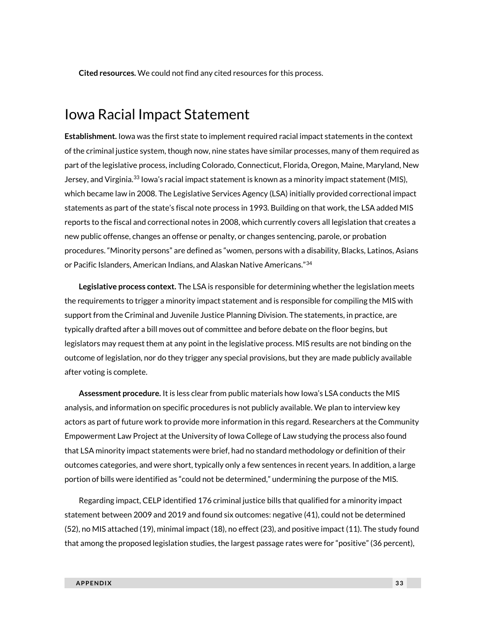**Cited resources.** We could not find any cited resources for this process.

## Iowa Racial Impact Statement

**Establishment.** Iowa was the first state to implement required racial impact statements in the context of the criminal justice system, though now, nine states have similar processes, many of them required as part of the legislative process, including Colorado, Connecticut, Florida, Oregon, Maine, Maryland, New Jersey, and Virginia.<sup>33</sup> Iowa's racial impact statement is known as a minority impact statement (MIS), which became law in 2008. The Legislative Services Agency (LSA) initially provided correctional impact statements as part of the state's fiscal note process in 1993. Building on that work, the LSA added MIS reports to the fiscal and correctional notes in 2008, which currently covers all legislation that creates a new public offense, changes an offense or penalty, or changes sentencing, parole, or probation procedures. "Minority persons" are defined as "women, persons with a disability, Blacks, Latinos, Asians or Pacific Islanders, American Indians, and Alaskan Native Americans."<sup>34</sup>

**Legislative process context.** The LSA is responsible for determining whether the legislation meets the requirements to trigger a minority impact statement and is responsible for compiling the MIS with support from the Criminal and Juvenile Justice Planning Division. The statements, in practice, are typically drafted after a bill moves out of committee and before debate on the floor begins, but legislators may request them at any point in the legislative process. MIS results are not binding on the outcome of legislation, nor do they trigger any special provisions, but they are made publicly available after voting is complete.

**Assessment procedure.** It is less clear from public materials how Iowa's LSA conducts the MIS analysis, and information on specific procedures is not publicly available. We plan to interview key actors as part of future work to provide more information in this regard. Researchers at the Community Empowerment Law Project at the University of Iowa College of Law studying the process also found that LSA minority impact statements were brief, had no standard methodology or definition of their outcomes categories, and were short, typically only a few sentences in recent years. In addition, a large portion of bills were identified as "could not be determined," undermining the purpose of the MIS.

Regarding impact, CELP identified 176 criminal justice bills that qualified for a minority impact statement between 2009 and 2019 and found six outcomes: negative (41), could not be determined (52), no MIS attached (19), minimal impact (18), no effect (23), and positive impact (11). The study found that among the proposed legislation studies, the largest passage rates were for "positive" (36 percent),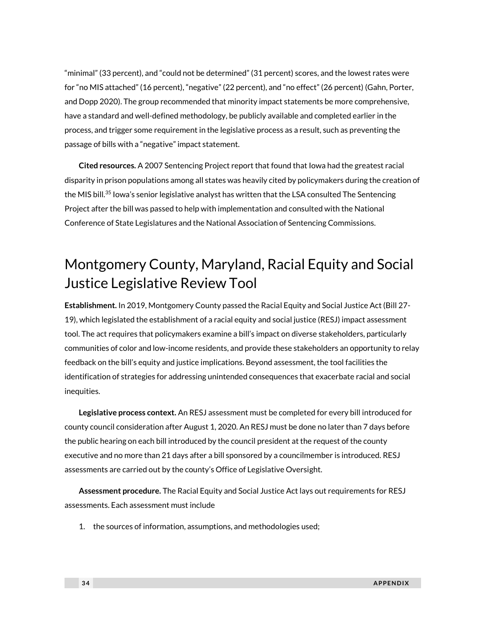"minimal" (33 percent), and "could not be determined" (31 percent) scores, and the lowest rates were for "no MIS attached" (16 percent), "negative" (22 percent), and "no effect" (26 percent) (Gahn, Porter, and Dopp 2020). The group recommended that minority impact statements be more comprehensive, have a standard and well-defined methodology, be publicly available and completed earlier in the process, and trigger some requirement in the legislative process as a result, such as preventing the passage of bills with a "negative" impact statement.

**Cited resources.** A 2007 Sentencing Project report that found that Iowa had the greatest racial disparity in prison populations among all states was heavily cited by policymakers during the creation of the MIS bill.<sup>35</sup> Iowa's senior legislative analyst has written that the LSA consulted The Sentencing Project after the bill was passed to help with implementation and consulted with the National Conference of State Legislatures and the National Association of Sentencing Commissions.

## Montgomery County, Maryland, Racial Equity and Social Justice Legislative Review Tool

**Establishment.** In 2019, Montgomery County passed the Racial Equity and Social Justice Act (Bill 27- 19), which legislated the establishment of a racial equity and social justice (RESJ) impact assessment tool. The act requires that policymakers examine a bill's impact on diverse stakeholders, particularly communities of color and low-income residents, and provide these stakeholders an opportunity to relay feedback on the bill's equity and justice implications. Beyond assessment, the tool facilities the identification of strategies for addressing unintended consequences that exacerbate racial and social inequities.

**Legislative process context.** An RESJ assessment must be completed for every bill introduced for county council consideration after August 1, 2020. An RESJ must be done no later than 7 days before the public hearing on each bill introduced by the council president at the request of the county executive and no more than 21 days after a bill sponsored by a councilmember is introduced. RESJ assessments are carried out by the county's Office of Legislative Oversight.

**Assessment procedure.** The Racial Equity and Social Justice Act lays out requirements for RESJ assessments. Each assessment must include

1. the sources of information, assumptions, and methodologies used;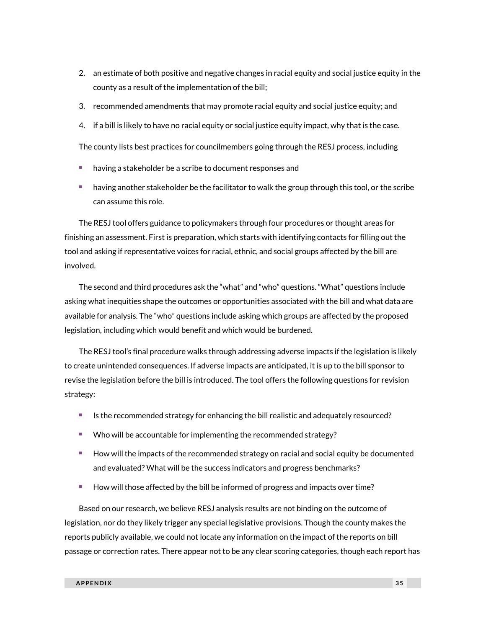- 2. an estimate of both positive and negative changes in racial equity and social justice equity in the county as a result of the implementation of the bill;
- 3. recommended amendments that may promote racial equity and social justice equity; and
- 4. if a bill is likely to have no racial equity or social justice equity impact, why that is the case.

The county lists best practices for councilmembers going through the RESJ process, including

- having a stakeholder be a scribe to document responses and
- having another stakeholder be the facilitator to walk the group through this tool, or the scribe can assume this role.

The RESJ tool offers guidance to policymakers through four procedures or thought areas for finishing an assessment. First is preparation, which starts with identifying contacts for filling out the tool and asking if representative voices for racial, ethnic, and social groups affected by the bill are involved.

The second and third procedures ask the "what" and "who" questions. "What" questions include asking what inequities shape the outcomes or opportunities associated with the bill and what data are available for analysis. The "who" questions include asking which groups are affected by the proposed legislation, including which would benefit and which would be burdened.

The RESJ tool's final procedure walks through addressing adverse impacts if the legislation is likely to create unintended consequences. If adverse impacts are anticipated, it is up to the bill sponsor to revise the legislation before the bill is introduced. The tool offers the following questions for revision strategy:

- Is the recommended strategy for enhancing the bill realistic and adequately resourced?
- Who will be accountable for implementing the recommended strategy?
- <sup>◼</sup> How will the impacts of the recommended strategy on racial and social equity be documented and evaluated? What will be the success indicators and progress benchmarks?
- How will those affected by the bill be informed of progress and impacts over time?

Based on our research, we believe RESJ analysis results are not binding on the outcome of legislation, nor do they likely trigger any special legislative provisions. Though the county makes the reports publicly available, we could not locate any information on the impact of the reports on bill passage or correction rates. There appear not to be any clear scoring categories, though each report has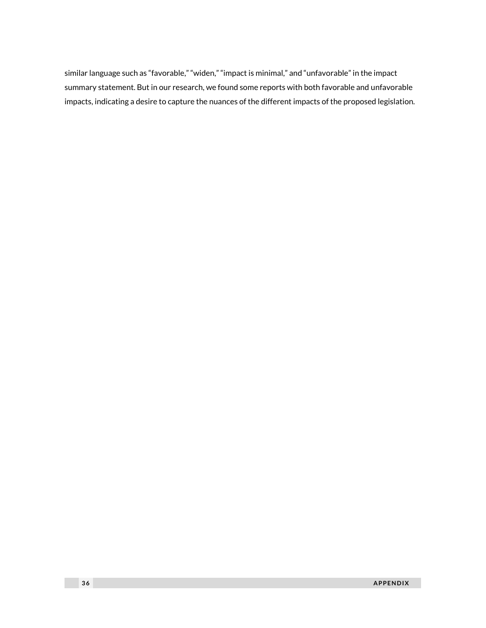similar language such as "favorable," "widen," "impact is minimal," and "unfavorable" in the impact summary statement. But in our research, we found some reports with both favorable and unfavorable impacts, indicating a desire to capture the nuances of the different impacts of the proposed legislation.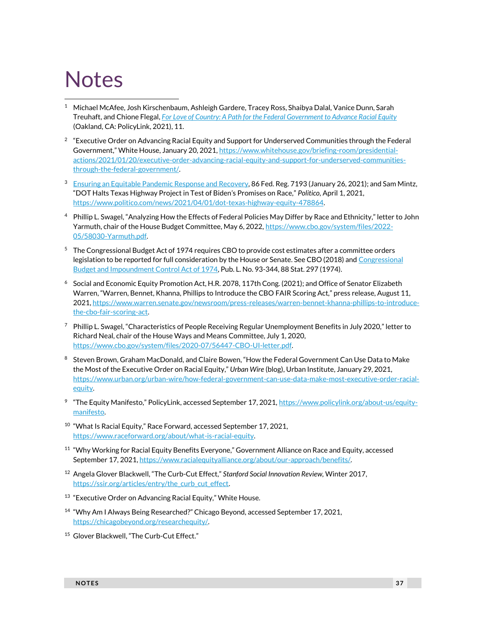## **Notes**

- <sup>1</sup> Michael McAfee, Josh Kirschenbaum, Ashleigh Gardere, Tracey Ross, Shaibya Dalal, Vanice Dunn, Sarah Treuhaft, and Chione Flegal, *[For Love of Country: A Path for the Federal Government to Advance Racial Equity](https://www.policylink.org/sites/default/files/For_Love_of_Country_Report_July2021.pdf)* (Oakland, CA: PolicyLink, 2021), 11.
- $2$  "Executive Order on Advancing Racial Equity and Support for Underserved Communities through the Federal Government," White House, January 20, 2021, [https://www.whitehouse.gov/briefing-room/presidential](https://www.whitehouse.gov/briefing-room/presidential-actions/2021/01/20/executive-order-advancing-racial-equity-and-support-for-underserved-communities-through-the-federal-government/)[actions/2021/01/20/executive-order-advancing-racial-equity-and-support-for-underserved-communities](https://www.whitehouse.gov/briefing-room/presidential-actions/2021/01/20/executive-order-advancing-racial-equity-and-support-for-underserved-communities-through-the-federal-government/)[through-the-federal-government/.](https://www.whitehouse.gov/briefing-room/presidential-actions/2021/01/20/executive-order-advancing-racial-equity-and-support-for-underserved-communities-through-the-federal-government/)
- <sup>3</sup> [Ensuring an Equitable Pandemic Response and Recovery,](https://www.govinfo.gov/content/pkg/FR-2021-01-26/pdf/2021-01852.pdf) 86 Fed. Reg. 7193 (January 26, 2021); and Sam Mintz, "DOT Halts Texas Highway Project in Test of Biden's Promises on Race," *Politico,* April 1, 2021, [https://www.politico.com/news/2021/04/01/dot-texas-highway-equity-478864.](https://www.politico.com/news/2021/04/01/dot-texas-highway-equity-478864)
- 4 Phillip L. Swagel, "Analyzing How the Effects of Federal Policies May Differ by Race and Ethnicity," letter to John Yarmuth, chair of the House Budget Committee, May 6, 2022[, https://www.cbo.gov/system/files/2022-](https://www.cbo.gov/system/files/2022-05/58030-Yarmuth.pdf) [05/58030-Yarmuth.pdf.](https://www.cbo.gov/system/files/2022-05/58030-Yarmuth.pdf)
- <sup>5</sup> The Congressional Budget Act of 1974 requires CBO to provide cost estimates after a committee orders legislation to be reported for full consideration by the House or Senate. See CBO (2018) and [Congressional](https://www.congress.gov/93/statute/STATUTE-88/STATUTE-88-Pg297.pdf)  [Budget and Impoundment Control Act of 1974,](https://www.congress.gov/93/statute/STATUTE-88/STATUTE-88-Pg297.pdf) Pub. L. No. 93-344, 88 Stat. 297 (1974).
- <sup>6</sup> Social and Economic Equity Promotion Act, H.R. 2078, 117th Cong. (2021); and Office of Senator Elizabeth Warren, "Warren, Bennet, Khanna, Phillips to Introduce the CBO FAIR Scoring Act," press release, August 11, 2021[, https://www.warren.senate.gov/newsroom/press-releases/warren-bennet-khanna-phillips-to-introduce](https://www.warren.senate.gov/newsroom/press-releases/warren-bennet-khanna-phillips-to-introduce-the-cbo-fair-scoring-act)[the-cbo-fair-scoring-act.](https://www.warren.senate.gov/newsroom/press-releases/warren-bennet-khanna-phillips-to-introduce-the-cbo-fair-scoring-act)
- $7$  Phillip L. Swagel, "Characteristics of People Receiving Regular Unemployment Benefits in July 2020," letter to Richard Neal, chair of the House Ways and Means Committee, July 1, 2020, [https://www.cbo.gov/system/files/2020-07/56447-CBO-UI-letter.pdf.](https://www.cbo.gov/system/files/2020-07/56447-CBO-UI-letter.pdf)
- 8 Steven Brown, Graham MacDonald, and Claire Bowen, "How the Federal Government Can Use Data to Make the Most of the Executive Order on Racial Equity," *Urban Wire* (blog), Urban Institute, January 29, 2021, [https://www.urban.org/urban-wire/how-federal-government-can-use-data-make-most-executive-order-racial](https://www.urban.org/urban-wire/how-federal-government-can-use-data-make-most-executive-order-racial-equity)[equity.](https://www.urban.org/urban-wire/how-federal-government-can-use-data-make-most-executive-order-racial-equity)
- <sup>9</sup> "The Equity Manifesto," PolicyLink, accessed September 17, 2021, [https://www.policylink.org/about-us/equity](https://www.policylink.org/about-us/equity-manifesto)[manifesto.](https://www.policylink.org/about-us/equity-manifesto)
- <sup>10</sup> "What Is Racial Equity," Race Forward, accessed September 17, 2021, [https://www.raceforward.org/about/what-is-racial-equity.](https://www.raceforward.org/about/what-is-racial-equity)
- <sup>11</sup> "Why Working for Racial Equity Benefits Everyone," Government Alliance on Race and Equity, accessed September 17, 2021, https://www.racialequityalliance.org/about/our-approach/benefits/.
- <sup>12</sup> Angela Glover Blackwell, "The Curb-Cut Effect," *Stanford Social Innovation Review,* Winter 2017, [https://ssir.org/articles/entry/the\\_curb\\_cut\\_effect.](https://ssir.org/articles/entry/the_curb_cut_effect)
- <sup>13</sup> "Executive Order on Advancing Racial Equity," White House.
- <sup>14</sup> "Why Am I Always Being Researched?" Chicago Beyond, accessed September 17, 2021, [https://chicagobeyond.org/researchequity/.](https://chicagobeyond.org/researchequity/)
- <sup>15</sup> Glover Blackwell, "The Curb-Cut Effect."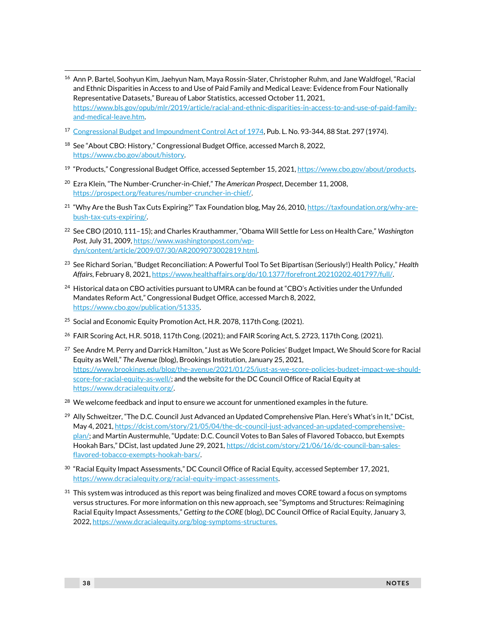- <sup>16</sup> Ann P. Bartel, Soohyun Kim, Jaehyun Nam, Maya Rossin-Slater, Christopher Ruhm, and Jane Waldfogel, "Racial and Ethnic Disparities in Access to and Use of Paid Family and Medical Leave: Evidence from Four Nationally Representative Datasets," Bureau of Labor Statistics, accessed October 11, 2021, [https://www.bls.gov/opub/mlr/2019/article/racial-and-ethnic-disparities-in-access-to-and-use-of-paid-family](https://www.bls.gov/opub/mlr/2019/article/racial-and-ethnic-disparities-in-access-to-and-use-of-paid-family-and-medical-leave.htm)[and-medical-leave.htm.](https://www.bls.gov/opub/mlr/2019/article/racial-and-ethnic-disparities-in-access-to-and-use-of-paid-family-and-medical-leave.htm)
- <sup>17</sup> [Congressional Budget and Impoundment Control Act of 1974,](https://www.govtrack.us/congress/bills/93/hr7130/text) Pub. L. No. 93-344, 88 Stat. 297 (1974).
- <sup>18</sup> See "About CBO: History," Congressional Budget Office, accessed March 8, 2022, [https://www.cbo.gov/about/history.](https://www.cbo.gov/about/history)
- <sup>19</sup> "Products," Congressional Budget Office, accessed September 15, 2021[, https://www.cbo.gov/about/products.](https://www.cbo.gov/about/products)
- <sup>20</sup> Ezra Klein, "The Number-Cruncher-in-Chief," *The American Prospect*, December 11, 2008, [https://prospect.org/features/number-cruncher-in-chief/.](https://prospect.org/features/number-cruncher-in-chief/)
- <sup>21</sup> "Why Are the Bush Tax Cuts Expiring?" Tax Foundation blog, May 26, 2010, [https://taxfoundation.org/why-are](https://taxfoundation.org/why-are-bush-tax-cuts-expiring/)[bush-tax-cuts-expiring/.](https://taxfoundation.org/why-are-bush-tax-cuts-expiring/)
- <sup>22</sup> See CBO (2010, 111–15); and Charles Krauthammer, "Obama Will Settle for Less on Health Care," *Washington Post,* July 31, 2009[, https://www.washingtonpost.com/wp](https://www.washingtonpost.com/wp-dyn/content/article/2009/07/30/AR2009073002819.html)[dyn/content/article/2009/07/30/AR2009073002819.html.](https://www.washingtonpost.com/wp-dyn/content/article/2009/07/30/AR2009073002819.html)
- <sup>23</sup> See Richard Sorian, "Budget Reconciliation: A Powerful Tool To Set Bipartisan (Seriously!) Health Policy," *Health Affairs*, February 8, 2021[, https://www.healthaffairs.org/do/10.1377/forefront.20210202.401797/full/.](https://www.healthaffairs.org/do/10.1377/forefront.20210202.401797/full/)
- <sup>24</sup> Historical data on CBO activities pursuant to UMRA can be found at "CBO's Activities under the Unfunded Mandates Reform Act," Congressional Budget Office, accessed March 8, 2022, [https://www.cbo.gov/publication/51335.](https://www.cbo.gov/publication/51335)
- <sup>25</sup> Social and Economic Equity Promotion Act, H.R. 2078, 117th Cong. (2021).
- <sup>26</sup> FAIR Scoring Act, H.R. 5018, 117th Cong. (2021); and FAIR Scoring Act, S. 2723, 117th Cong. (2021).
- <sup>27</sup> See Andre M. Perry and Darrick Hamilton, "Just as We Score Policies' Budget Impact, We Should Score for Racial Equity as Well," *The Avenue* (blog), Brookings Institution, January 25, 2021, [https://www.brookings.edu/blog/the-avenue/2021/01/25/just-as-we-score-policies-budget-impact-we-should](https://www.brookings.edu/blog/the-avenue/2021/01/25/just-as-we-score-policies-budget-impact-we-should-score-for-racial-equity-as-well/)[score-for-racial-equity-as-well/;](https://www.brookings.edu/blog/the-avenue/2021/01/25/just-as-we-score-policies-budget-impact-we-should-score-for-racial-equity-as-well/) and the website for the DC Council Office of Racial Equity at [https://www.dcracialequity.org/.](https://www.dcracialequity.org/)
- $^{28}$  We welcome feedback and input to ensure we account for unmentioned examples in the future.
- <sup>29</sup> Ally Schweitzer, "The D.C. Council Just Advanced an Updated Comprehensive Plan. Here's What's in It," DCist, May 4, 2021[, https://dcist.com/story/21/05/04/the-dc-council-just-advanced-an-updated-comprehensive](https://dcist.com/story/21/05/04/the-dc-council-just-advanced-an-updated-comprehensive-plan/)[plan/;](https://dcist.com/story/21/05/04/the-dc-council-just-advanced-an-updated-comprehensive-plan/) and Martin Austermuhle, "Update: D.C. Council Votes to Ban Sales of Flavored Tobacco, but Exempts Hookah Bars," DCist, last updated June 29, 2021, [https://dcist.com/story/21/06/16/dc-council-ban-sales](https://dcist.com/story/21/06/16/dc-council-ban-sales-flavored-tobacco-exempts-hookah-bars/)[flavored-tobacco-exempts-hookah-bars/.](https://dcist.com/story/21/06/16/dc-council-ban-sales-flavored-tobacco-exempts-hookah-bars/)
- $^{30}$  "Racial Equity Impact Assessments," DC Council Office of Racial Equity, accessed September 17, 2021, [https://www.dcracialequity.org/racial-equity-impact-assessments.](https://www.dcracialequity.org/racial-equity-impact-assessments)
- $31$  This system was introduced as this report was being finalized and moves CORE toward a focus on symptoms versus structures. For more information on this new approach, see "Symptoms and Structures: Reimagining Racial Equity Impact Assessments," *Getting to the CORE* (blog), DC Council Office of Racial Equity, January 3, 2022[, https://www.dcracialequity.org/blog-symptoms-structures.](https://www.dcracialequity.org/blog-symptoms-structures)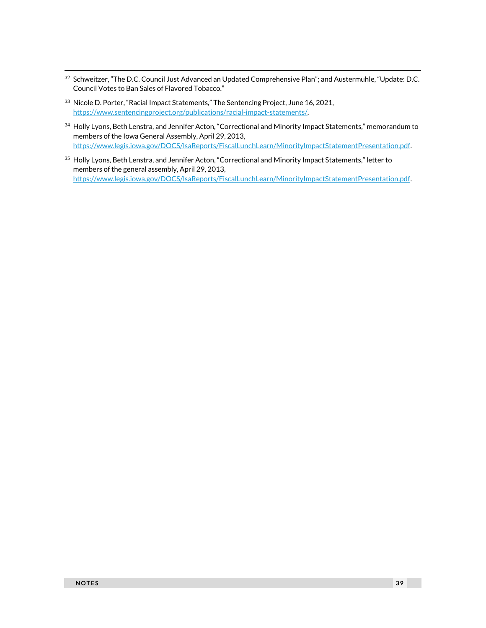- <sup>32</sup> Schweitzer, "The D.C. Council Just Advanced an Updated Comprehensive Plan"; and Austermuhle, "Update: D.C. Council Votes to Ban Sales of Flavored Tobacco."
- <sup>33</sup> Nicole D. Porter, "Racial Impact Statements," The Sentencing Project, June 16, 2021, [https://www.sentencingproject.org/publications/racial-impact-statements/.](https://www.sentencingproject.org/publications/racial-impact-statements/)
- 34 Holly Lyons, Beth Lenstra, and Jennifer Acton, "Correctional and Minority Impact Statements," memorandum to members of the Iowa General Assembly, April 29, 2013, [https://www.legis.iowa.gov/DOCS/lsaReports/FiscalLunchLearn/MinorityImpactStatementPresentation.pdf.](https://www.legis.iowa.gov/DOCS/lsaReports/FiscalLunchLearn/MinorityImpactStatementPresentation.pdf)
- <sup>35</sup> Holly Lyons, Beth Lenstra, and Jennifer Acton, "Correctional and Minority Impact Statements," letter to members of the general assembly, April 29, 2013, [https://www.legis.iowa.gov/DOCS/lsaReports/FiscalLunchLearn/MinorityImpactStatementPresentation.pdf.](https://www.legis.iowa.gov/DOCS/lsaReports/FiscalLunchLearn/MinorityImpactStatementPresentation.pdf)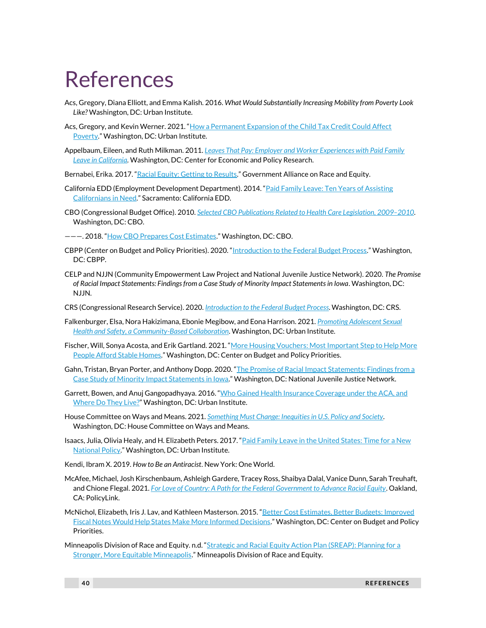## References

- Acs, Gregory, Diana Elliott, and Emma Kalish. 2016. *What Would Substantially Increasing Mobility from Poverty Look Like?* Washington, DC: Urban Institute.
- Acs, Gregory, and Kevin Werner. 2021. "How a Permanent Expansion of the Child Tax Credit Could Affect [Poverty](https://www.urban.org/research/publication/how-permanent-expansion-child-tax-credit-could-affect-poverty)." Washington, DC: Urban Institute.
- Appelbaum, Eileen, and Ruth Milkman. 2011. *[Leaves That Pay: Employer and Worker Experiences with Paid Family](https://cepr.net/documents/publications/paid-family-leave-1-2011.pdf)  Leave in [California](https://cepr.net/documents/publications/paid-family-leave-1-2011.pdf)*. Washington, DC: Center for Economic and Policy Research.
- Bernabei, Erika. 2017. "[Racial Equity: Getting to Results](https://www.racialequityalliance.org/wp-content/uploads/2017/09/GARE_GettingtoEquity_July2017_PUBLISH.pdf)." Government Alliance on Race and Equity.
- California EDD (Employment Development Department). 2014. "[Paid Family Leave: Ten Years of Assisting](https://www.edd.ca.gov/Disability/pdf/Paid_Family_Leave_10_Year_Anniversary_Report.pdf)  [Californians in Need](https://www.edd.ca.gov/Disability/pdf/Paid_Family_Leave_10_Year_Anniversary_Report.pdf)." Sacramento: California EDD.
- CBO (Congressional Budget Office). 2010. *[Selected CBO Publications Related to Health Care Legislation, 2009](https://www.cbo.gov/sites/default/files/111th-congress-2009-2010/reports/12-23-selectedhealthcarepublications.pdf)–2010*. Washington, DC: CBO.
- ---. 2018. "[How CBO Prepares Cost Estimates](https://www.cbo.gov/publication/53519)." Washington, DC: CBO.
- CBPP (Center on Budget and Policy Priorities). 2020. "[Introduction to the Federal Budget Process](https://www.cbpp.org/sites/default/files/atoms/files/3-7-03bud.pdf)." Washington, DC: CBPP.
- CELP and NJJN (Community Empowerment Law Project and National Juvenile Justice Network). 2020. *The Promise of Racial Impact Statements: Findings from a Case Study of Minority Impact Statements in Iowa*. Washington, DC: NJJN.
- CRS (Congressional Research Service). 2020. *[Introduction to the Federal](https://crsreports.congress.gov/product/pdf/R/R46240) Budget Process*. Washington, DC: CRS.
- Falkenburger, Elsa, Nora Hakizimana, Ebonie Megibow, and Eona Harrison. 2021. *[Promoting Adolescent Sexual](https://www.urban.org/research/publication/promoting-adolescent-sexual-health-and-safety-community-based-collaboration)  [Health and Safety, a Community-Based Collaboration](https://www.urban.org/research/publication/promoting-adolescent-sexual-health-and-safety-community-based-collaboration)*. Washington, DC: Urban Institute.
- Fischer, Will, Sonya Acosta, and Erik Gartland. 2021. "More Housing Vouchers: Most Important Step to Help More [People Afford Stable Homes](https://www.cbpp.org/sites/default/files/4-14-21hous.pdf)." Washington, DC: Center on Budget and Policy Priorities.
- Gahn, Tristan, Bryan Porter, and Anthony Dopp. 2020. "The Promise of Racial Impact Statements: Findings from a [Case Study of Minority Impact Statements in Iowa](https://www.njjn.org/uploads/digital-library/thepromiseofracialimpactstatements_njjnoctober2020(small).pdf)." Washington, DC: National Juvenile Justice Network.
- Garrett, Bowen, and Anuj Gangopadhyaya. 2016. "Who Gained Health Insurance Coverage under the ACA, and [Where Do They Live?](https://www.urban.org/sites/default/files/publication/86761/2001041-who-gained-health-insurance-coverage-under-the-aca-and-where-do-they-live.pdf)" Washington, DC: Urban Institute.
- House Committee on Ways and Means. 2021. *[Something Must Change: Inequities in U.S. Policy and Society](https://waysandmeans.house.gov/sites/democrats.waysandmeans.house.gov/files/documents/WMD%20Health%20and%20Economic%20Equity%20Vision_REPORT.pdf)*. Washington, DC: House Committee on Ways and Means.
- Isaacs, Julia, Olivia Healy, and H. Elizabeth Peters. 2017. "Paid Family Leave in the United States: Time for a New [National Policy](http://www.urban.org/sites/default/files/publication/90201/paid_family_leave.pdf)." Washington, DC: Urban Institute.
- Kendi, Ibram X. 2019. *How to Be an Antiracist*. New York: One World.
- McAfee, Michael, Josh Kirschenbaum, Ashleigh Gardere, Tracey Ross, Shaibya Dalal, Vanice Dunn, Sarah Treuhaft, and Chione Flegal. 2021. *[For Love of Country: A Path for the Federal Government to Advance Racial Equity](https://www.policylink.org/sites/default/files/For_Love_of_Country_Report_July2021.pdf)*. Oakland, CA: PolicyLink.
- McNichol, Elizabeth, Iris J. Lav, and Kathleen Masterson. 2015. "[Better Cost Estimates, Better Budgets: Improved](https://www.cbpp.org/sites/default/files/atoms/files/10-15-15sfp2.pdf)  [Fiscal Notes Would Help States Make More Informed Decisions](https://www.cbpp.org/sites/default/files/atoms/files/10-15-15sfp2.pdf)." Washington, DC: Center on Budget and Policy Priorities.
- Minneapolis Division of Race and Equity. n.d. "[Strategic and Racial Equity Action Plan \(SREAP\): Planning](https://www2.minneapolismn.gov/media/content-assets/www2-documents/government/SREAP-Brochure-.pdf) for a [Stronger, More Equitable Minneapolis](https://www2.minneapolismn.gov/media/content-assets/www2-documents/government/SREAP-Brochure-.pdf)." Minneapolis Division of Race and Equity.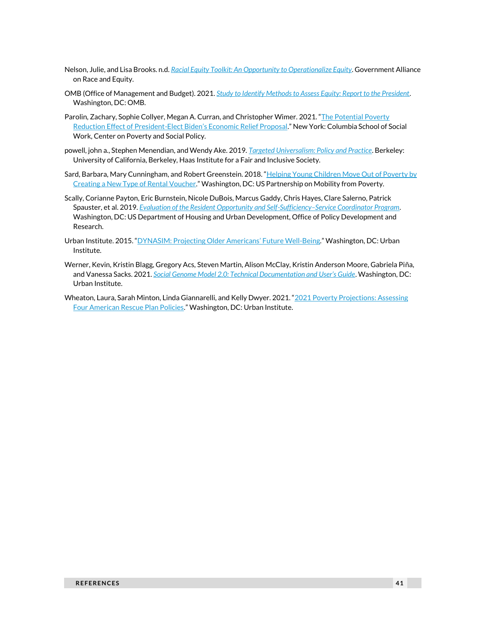- Nelson, Julie, and Lisa Brooks. n.d. *Racial Equity Toolkit: An [Opportunity to Operationalize Equity](https://racialequityalliance.org/wp-content/uploads/2015/10/GARE-Racial_Equity_Toolkit.pdf)*. Government Alliance on Race and Equity.
- OMB (Office of Management and Budget). 2021. *[Study to Identify Methods to Assess Equity: Report to the President](https://www.whitehouse.gov/wp-content/uploads/2021/08/OMB-Report-on-E013985-Implementation_508-Compliant-Secure-v1.1.pdf)*. Washington, DC: OMB.
- Parolin, Zachary, Sophie Collyer, Megan A. Curran, and Christopher Wimer. 2021. "[The Potential Poverty](https://static1.squarespace.com/static/5743308460b5e922a25a6dc7/t/601acf15866c634924d12963/1612%20369686861/Poverty-Reduction-Analysis-Biden-Economic-Relief-CPSP-2021.pdf)  Reduction Effect of President-[Elect Biden's Economic Relief Proposal.](https://static1.squarespace.com/static/5743308460b5e922a25a6dc7/t/601acf15866c634924d12963/1612%20369686861/Poverty-Reduction-Analysis-Biden-Economic-Relief-CPSP-2021.pdf)" New York: Columbia School of Social Work, Center on Poverty and Social Policy.
- powell, john a., Stephen Menendian, and Wendy Ake. 2019. *[Targeted Universalism: Policy and Practice](https://belonging.berkeley.edu/targeteduniversalism)*. Berkeley: University of California, Berkeley, Haas Institute for a Fair and Inclusive Society.
- Sard, Barbara, Mary Cunningham, and Robert Greenstein. 2018. "Helping Young Children Move Out of Poverty by [Creating a New Type of Rental Voucher](https://www.mobilitypartnership.org/helping-young-children-move-out-poverty-creating-new-type-rental-voucher)." Washington, DC: US Partnership on Mobility from Poverty.
- Scally, Corianne Payton, Eric Burnstein, Nicole DuBois, Marcus Gaddy, Chris Hayes, Clare Salerno, Patrick Spauster, et al. 2019. *[Evaluation of the Resident Opportunity and Self-Sufficiency](https://www.huduser.gov/portal/sites/default/files/pdf/Self-Sufficiency-Service-ROSS.pdf)–Service Coordinator Program*. Washington, DC: US Department of Housing and Urban Development, Office of Policy Development and Research.
- Urban Institute. 2015. ["DYNASIM: Projecting Older Americans' Future Well](https://www.urban.org/research/publication/dynasim-projecting-older-americans-future-well-being)-Being." Washington, DC: Urban Institute.
- Werner, Kevin, Kristin Blagg, Gregory Acs, Steven Martin, Alison McClay, Kristin Anderson Moore, Gabriela Piña, and Vanessa Sacks. 2021. *[Social Genome Model 2.0: Technical Documentation and User's Guide](https://www.urban.org/research/publication/social-genome-model-20-technical-documentation-and-users-guide)*. Washington, DC: Urban Institute.
- Wheaton, Laura, Sarah Minton, Linda Giannarelli, and Kelly Dwyer. 2021. "2021 Poverty Projections: Assessing [Four American Rescue Plan Policies](https://www.urban.org/research/publication/2021-poverty-projections-assessing-four-american-rescue-plan-policies)." Washington, DC: Urban Institute.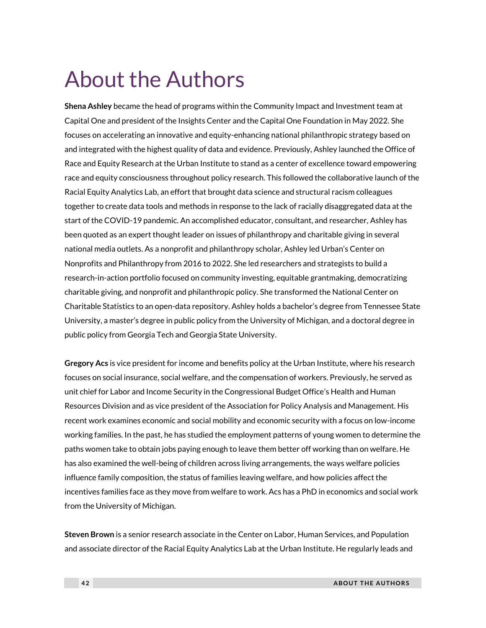## About the Authors

**Shena Ashley** became the head of programs within the Community Impact and Investment team at Capital One and president of the Insights Center and the Capital One Foundation in May 2022. She focuses on accelerating an innovative and equity-enhancing national philanthropic strategy based on and integrated with the highest quality of data and evidence. Previously, Ashley launched the Office of Race and Equity Research at the Urban Institute to stand as a center of excellence toward empowering race and equity consciousness throughout policy research. This followed the collaborative launch of the Racial Equity Analytics Lab, an effort that brought data science and structural racism colleagues together to create data tools and methods in response to the lack of racially disaggregated data at the start of the COVID-19 pandemic. An accomplished educator, consultant, and researcher, Ashley has been quoted as an expert thought leader on issues of philanthropy and charitable giving in several national media outlets. As a nonprofit and philanthropy scholar, Ashley led Urban's Center on Nonprofits and Philanthropy from 2016 to 2022. She led researchers and strategists to build a research-in-action portfolio focused on community investing, equitable grantmaking, democratizing charitable giving, and nonprofit and philanthropic policy. She transformed the National Center on Charitable Statistics to an open-data repository. Ashley holds a bachelor's degree from Tennessee State University, a master's degree in public policy from the University of Michigan, and a doctoral degree in public policy from Georgia Tech and Georgia State University.

**Gregory Acs** is vice president for income and benefits policy at the Urban Institute, where his research focuses on social insurance, social welfare, and the compensation of workers. Previously, he served as unit chief for Labor and Income Security in the Congressional Budget Office's Health and Human Resources Division and as vice president of the Association for Policy Analysis and Management. His recent work examines economic and social mobility and economic security with a focus on low-income working families. In the past, he has studied the employment patterns of young women to determine the paths women take to obtain jobs paying enough to leave them better off working than on welfare. He has also examined the well-being of children across living arrangements, the ways welfare policies influence family composition, the status of families leaving welfare, and how policies affect the incentives families face as they move from welfare to work. Acs has a PhD in economics and social work from the University of Michigan.

**Steven Brown** is a senior research associate in the Center on Labor, Human Services, and Population and associate director of the Racial Equity Analytics Lab at the Urban Institute. He regularly leads and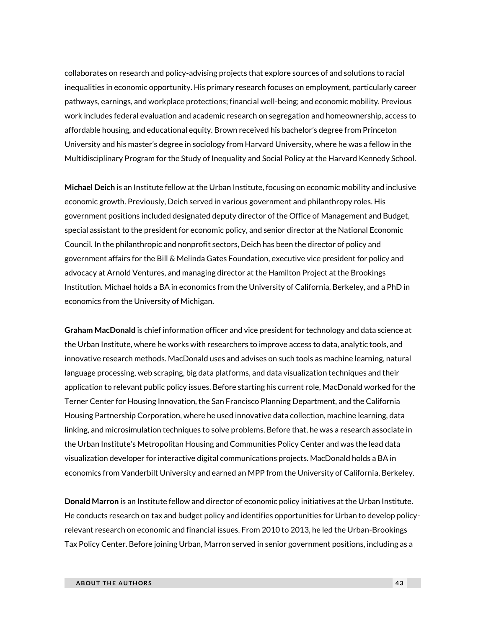collaborates on research and policy-advising projects that explore sources of and solutions to racial inequalities in economic opportunity. His primary research focuses on employment, particularly career pathways, earnings, and workplace protections; financial well-being; and economic mobility. Previous work includes federal evaluation and academic research on segregation and homeownership, access to affordable housing, and educational equity. Brown received his bachelor's degree from Princeton University and his master's degree in sociology from Harvard University, where he was a fellow in the Multidisciplinary Program for the Study of Inequality and Social Policy at the Harvard Kennedy School.

**Michael Deich** is an Institute fellow at the Urban Institute, focusing on economic mobility and inclusive economic growth. Previously, Deich served in various government and philanthropy roles. His government positions included designated deputy director of the Office of Management and Budget, special assistant to the president for economic policy, and senior director at the National Economic Council. In the philanthropic and nonprofit sectors, Deich has been the director of policy and government affairs for the Bill & Melinda Gates Foundation, executive vice president for policy and advocacy at Arnold Ventures, and managing director at the Hamilton Project at the Brookings Institution. Michael holds a BA in economics from the University of California, Berkeley, and a PhD in economics from the University of Michigan.

**Graham MacDonald** is chief information officer and vice president for technology and data science at the Urban Institute, where he works with researchers to improve access to data, analytic tools, and innovative research methods. MacDonald uses and advises on such tools as machine learning, natural language processing, web scraping, big data platforms, and data visualization techniques and their application to relevant public policy issues. Before starting his current role, MacDonald worked for the Terner Center for Housing Innovation, the San Francisco Planning Department, and the California Housing Partnership Corporation, where he used innovative data collection, machine learning, data linking, and microsimulation techniques to solve problems. Before that, he was a research associate in the Urban Institute's Metropolitan Housing and Communities Policy Center and was the lead data visualization developer for interactive digital communications projects. MacDonald holds a BA in economics from Vanderbilt University and earned an MPP from the University of California, Berkeley.

**Donald Marron** is an Institute fellow and director of economic policy initiatives at the Urban Institute. He conducts research on tax and budget policy and identifies opportunities for Urban to develop policyrelevant research on economic and financial issues. From 2010 to 2013, he led the Urban-Brookings Tax Policy Center. Before joining Urban, Marron served in senior government positions, including as a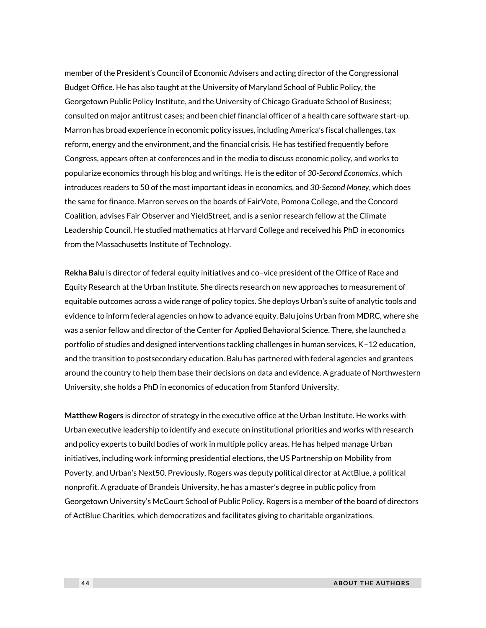member of the President's Council of Economic Advisers and acting director of the Congressional Budget Office. He has also taught at the University of Maryland School of Public Policy, the Georgetown Public Policy Institute, and the University of Chicago Graduate School of Business; consulted on major antitrust cases; and been chief financial officer of a health care software start-up. Marron has broad experience in economic policy issues, including America's fiscal challenges, tax reform, energy and the environment, and the financial crisis. He has testified frequently before Congress, appears often at conferences and in the media to discuss economic policy, and works to popularize economics through his blog and writings. He is the editor of *30-Second Economics*, which introduces readers to 50 of the most important ideas in economics, and *30-Second Money*, which does the same for finance. Marron serves on the boards of FairVote, Pomona College, and the Concord Coalition, advises Fair Observer and YieldStreet, and is a senior research fellow at the Climate Leadership Council. He studied mathematics at Harvard College and received his PhD in economics from the Massachusetts Institute of Technology.

**Rekha Balu** is director of federal equity initiatives and co–vice president of the Office of Race and Equity Research at the Urban Institute. She directs research on new approaches to measurement of equitable outcomes across a wide range of policy topics. She deploys Urban's suite of analytic tools and evidence to inform federal agencies on how to advance equity. Balu joins Urban from MDRC, where she was a senior fellow and director of the Center for Applied Behavioral Science. There, she launched a portfolio of studies and designed interventions tackling challenges in human services, K–12 education, and the transition to postsecondary education. Balu has partnered with federal agencies and grantees around the country to help them base their decisions on data and evidence. A graduate of Northwestern University, she holds a PhD in economics of education from Stanford University.

**Matthew Rogers** is director of strategy in the executive office at the Urban Institute. He works with Urban executive leadership to identify and execute on institutional priorities and works with research and policy experts to build bodies of work in multiple policy areas. He has helped manage Urban initiatives, including work informing presidential elections, the US Partnership on Mobility from Poverty, and Urban's Next50. Previously, Rogers was deputy political director at ActBlue, a political nonprofit. A graduate of Brandeis University, he has a master's degree in public policy from Georgetown University's McCourt School of Public Policy. Rogers is a member of the board of directors of ActBlue Charities, which democratizes and facilitates giving to charitable organizations.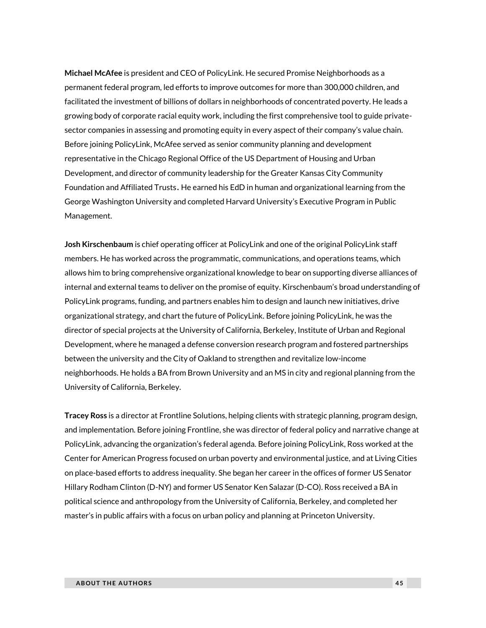**Michael McAfee** is president and CEO of PolicyLink. He secured Promise Neighborhoods as a permanent federal program, led efforts to improve outcomes for more than 300,000 children, and facilitated the investment of billions of dollars in neighborhoods of concentrated poverty. He leads a growing body of corporate racial equity work, including the first comprehensive tool to guide privatesector companies in assessing and promoting equity in every aspect of their company's value chain. Before joining PolicyLink, McAfee served as senior community planning and development representative in the Chicago Regional Office of the US Department of Housing and Urban Development, and director of community leadership for the Greater Kansas City Community Foundation and Affiliated Trusts. He earned his EdD in human and organizational learning from the George Washington University and completed Harvard University's Executive Program in Public Management.

**Josh Kirschenbaum** is chief operating officer at PolicyLink and one of the original PolicyLink staff members. He has worked across the programmatic, communications, and operations teams, which allows him to bring comprehensive organizational knowledge to bear on supporting diverse alliances of internal and external teams to deliver on the promise of equity. Kirschenbaum's broad understanding of PolicyLink programs, funding, and partners enables him to design and launch new initiatives, drive organizational strategy, and chart the future of PolicyLink. Before joining PolicyLink, he was the director of special projects at the University of California, Berkeley, Institute of Urban and Regional Development, where he managed a defense conversion research program and fostered partnerships between the university and the City of Oakland to strengthen and revitalize low-income neighborhoods. He holds a BA from Brown University and an MS in city and regional planning from the University of California, Berkeley.

**Tracey Ross** is a director at Frontline Solutions, helping clients with strategic planning, program design, and implementation. Before joining Frontline, she was director of federal policy and narrative change at PolicyLink, advancing the organization's federal agenda. Before joining PolicyLink, Ross worked at the Center for American Progress focused on urban poverty and environmental justice, and at Living Cities on place-based efforts to address inequality. She began her career in the offices of former US Senator Hillary Rodham Clinton (D-NY) and former US Senator Ken Salazar (D-CO). Ross received a BA in political science and anthropology from the University of California, Berkeley, and completed her master's in public affairs with a focus on urban policy and planning at Princeton University.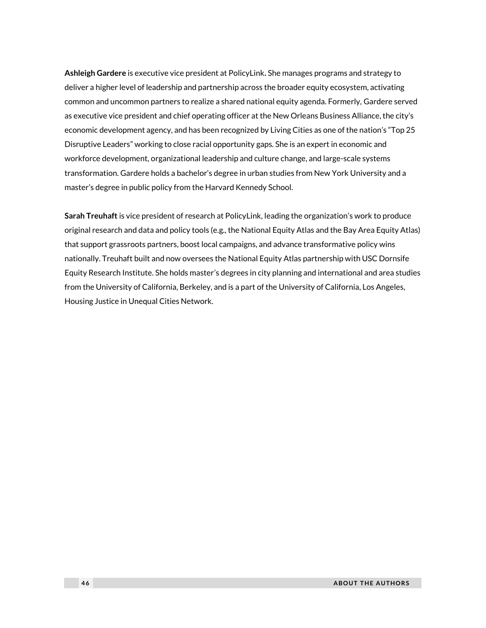**Ashleigh Gardere** is executive vice president at PolicyLink**.** She manages programs and strategy to deliver a higher level of leadership and partnership across the broader equity ecosystem, activating common and uncommon partners to realize a shared national equity agenda. Formerly, Gardere served as executive vice president and chief operating officer at the New Orleans Business Alliance, the city's economic development agency, and has been recognized by Living Cities as one of the nation's "Top 25 Disruptive Leaders" working to close racial opportunity gaps. She is an expert in economic and workforce development, organizational leadership and culture change, and large-scale systems transformation. Gardere holds a bachelor's degree in urban studies from New York University and a master's degree in public policy from the Harvard Kennedy School.

**Sarah Treuhaft** is vice president of research at PolicyLink, leading the organization's work to produce original research and data and policy tools (e.g., the National Equity Atlas and the Bay Area Equity Atlas) that support grassroots partners, boost local campaigns, and advance transformative policy wins nationally. Treuhaft built and now oversees the National Equity Atlas partnership with USC Dornsife Equity Research Institute. She holds master's degrees in city planning and international and area studies from the University of California, Berkeley, and is a part of the University of California, Los Angeles, Housing Justice in Unequal Cities Network.